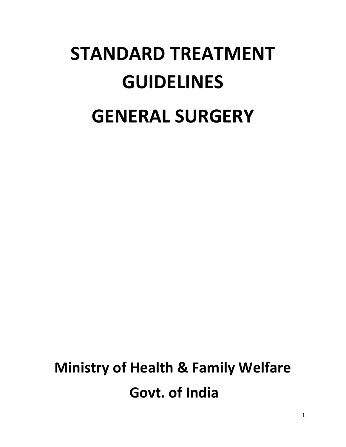# **STANDARD TREATMENT GUIDELINES GENERAL SURGERY**

## **Ministry of Health & Family Welfare Govt. of India**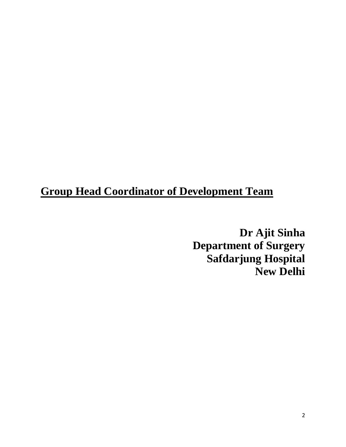### **Group Head Coordinator of Development Team**

**Dr Ajit Sinha Department of Surgery Safdarjung Hospital New Delhi**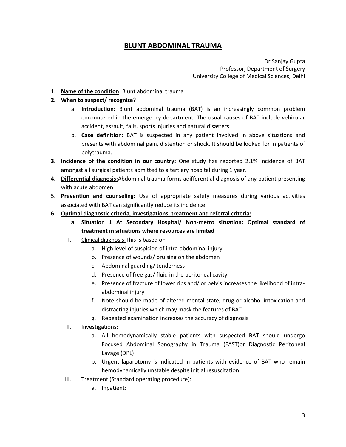#### **BLUNT ABDOMINAL TRAUMA**

Dr Sanjay Gupta Professor, Department of Surgery University College of Medical Sciences, Delhi

1. **Name of the condition**: Blunt abdominal trauma

#### **2. When to suspect/ recognize?**

- a. **Introduction**: Blunt abdominal trauma (BAT) is an increasingly common problem encountered in the emergency department. The usual causes of BAT include vehicular accident, assault, falls, sports injuries and natural disasters.
- b. **Case definition:** BAT is suspected in any patient involved in above situations and presents with abdominal pain, distention or shock. It should be looked for in patients of polytrauma.
- **3. Incidence of the condition in our country:** One study has reported 2.1% incidence of BAT amongst all surgical patients admitted to a tertiary hospital during 1 year.
- **4. Differential diagnosis:**Abdominal trauma forms adifferential diagnosis of any patient presenting with acute abdomen.
- 5. **Prevention and counseling:** Use of appropriate safety measures during various activities associated with BAT can significantly reduce its incidence.
- **6. Optimal diagnostic criteria, investigations, treatment and referral criteria:**
	- **a. Situation 1 At Secondary Hospital/ Non-metro situation: Optimal standard of treatment in situations where resources are limited**
	- I. Clinical diagnosis:This is based on
		- a. High level of suspicion of intra-abdominal injury
		- b. Presence of wounds/ bruising on the abdomen
		- c. Abdominal guarding/ tenderness
		- d. Presence of free gas/ fluid in the peritoneal cavity
		- e. Presence of fracture of lower ribs and/ or pelvis increases the likelihood of intraabdominal injury
		- f. Note should be made of altered mental state, drug or alcohol intoxication and distracting injuries which may mask the features of BAT
		- g. Repeated examination increases the accuracy of diagnosis
	- II. Investigations:
		- a. All hemodynamically stable patients with suspected BAT should undergo Focused Abdominal Sonography in Trauma (FAST)or Diagnostic Peritoneal Lavage (DPL)
		- b. Urgent laparotomy is indicated in patients with evidence of BAT who remain hemodynamically unstable despite initial resuscitation
	- III. Treatment (Standard operating procedure):
		- a. Inpatient: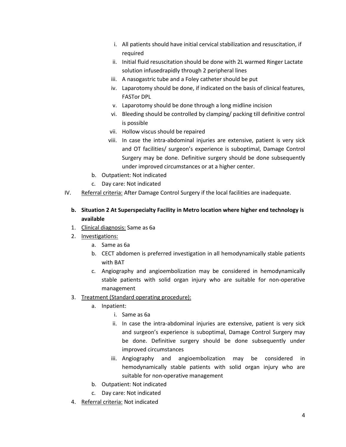- i. All patients should have initial cervical stabilization and resuscitation, if required
- ii. Initial fluid resuscitation should be done with 2L warmed Ringer Lactate solution infusedrapidly through 2 peripheral lines
- iii. A nasogastric tube and a Foley catheter should be put
- iv. Laparotomy should be done, if indicated on the basis of clinical features, FASTor DPL
- v. Laparotomy should be done through a long midline incision
- vi. Bleeding should be controlled by clamping/ packing till definitive control is possible
- vii. Hollow viscus should be repaired
- viii. In case the intra-abdominal injuries are extensive, patient is very sick and OT facilities/ surgeon's experience is suboptimal, Damage Control Surgery may be done. Definitive surgery should be done subsequently under improved circumstances or at a higher center.
- b. Outpatient: Not indicated
- c. Day care: Not indicated
- IV. Referral criteria: After Damage Control Surgery if the local facilities are inadequate.

#### **b. Situation 2 At Superspecialty Facility in Metro location where higher end technology is available**

- 1. Clinical diagnosis: Same as 6a
- 2. Investigations:
	- a. Same as 6a
	- b. CECT abdomen is preferred investigation in all hemodynamically stable patients with BAT
	- c. Angiography and angioembolization may be considered in hemodynamically stable patients with solid organ injury who are suitable for non-operative management
- 3. Treatment (Standard operating procedure):
	- a. Inpatient:
		- i. Same as 6a
		- ii. In case the intra-abdominal injuries are extensive, patient is very sick and surgeon's experience is suboptimal, Damage Control Surgery may be done. Definitive surgery should be done subsequently under improved circumstances
		- iii. Angiography and angioembolization may be considered in hemodynamically stable patients with solid organ injury who are suitable for non-operative management
	- b. Outpatient: Not indicated
	- c. Day care: Not indicated
- 4. Referral criteria: Not indicated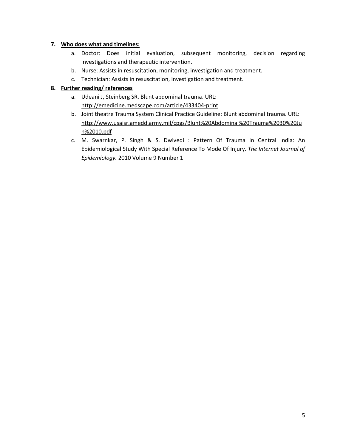#### **7. Who does what and timelines:**

- a. Doctor: Does initial evaluation, subsequent monitoring, decision regarding investigations and therapeutic intervention.
- b. Nurse: Assists in resuscitation, monitoring, investigation and treatment.
- c. Technician: Assists in resuscitation, investigation and treatment.

#### **8. Further reading/ references**

- a. Udeani J, Steinberg SR. Blunt abdominal trauma. URL: <http://emedicine.medscape.com/article/433404-print>
- b. Joint theatre Trauma System Clinical Practice Guideline: Blunt abdominal trauma. URL: [http://www.usaisr.amedd.army.mil/cpgs/Blunt%20Abdominal%20Trauma%2030%20Ju](http://www.usaisr.amedd.army.mil/cpgs/Blunt%20Abdominal%20Trauma%2030%20Jun%2010.pdf) [n%2010.pdf](http://www.usaisr.amedd.army.mil/cpgs/Blunt%20Abdominal%20Trauma%2030%20Jun%2010.pdf)
- c. M. Swarnkar, P. Singh & S. Dwivedi : Pattern Of Trauma In Central India: An Epidemiological Study With Special Reference To Mode Of Injury. *The Internet Journal of Epidemiology.* 2010 Volume 9 Number 1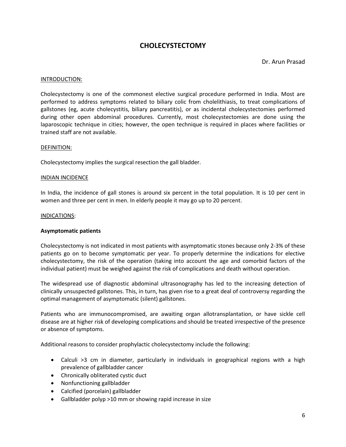#### **CHOLECYSTECTOMY**

Dr. Arun Prasad

#### INTRODUCTION:

Cholecystectomy is one of the commonest elective surgical procedure performed in India. Most are performed to address symptoms related to biliary colic from cholelithiasis, to treat complications of gallstones (eg, acute cholecystitis, biliary pancreatitis), or as incidental cholecystectomies performed during other open abdominal procedures. Currently, most cholecystectomies are done using the laparoscopic technique in cities; however, the open technique is required in places where facilities or trained staff are not available.

#### DEFINITION:

Cholecystectomy implies the surgical resection the gall bladder.

#### INDIAN INCIDENCE

In India, the incidence of gall stones is around six percent in the total population. It is 10 per cent in women and three per cent in men. In elderly people it may go up to 20 percent.

#### INDICATIONS:

#### **Asymptomatic patients**

Cholecystectomy is not indicated in most patients with asymptomatic stones because only 2-3% of these patients go on to become symptomatic per year. To properly determine the indications for elective cholecystectomy, the risk of the operation (taking into account the age and comorbid factors of the individual patient) must be weighed against the risk of complications and death without operation.

The widespread use of diagnostic abdominal ultrasonography has led to the increasing detection of clinically unsuspected gallstones. This, in turn, has given rise to a great deal of controversy regarding the optimal management of asymptomatic (silent) gallstones.

Patients who are immunocompromised, are awaiting organ allotransplantation, or have sickle cell disease are at higher risk of developing complications and should be treated irrespective of the presence or absence of symptoms.

Additional reasons to consider prophylactic cholecystectomy include the following:

- Calculi >3 cm in diameter, particularly in individuals in geographical regions with a high prevalence of gallbladder cancer
- Chronically obliterated cystic duct
- Nonfunctioning gallbladder
- Calcified (porcelain) gallbladder
- Gallbladder polyp >10 mm or showing rapid increase in size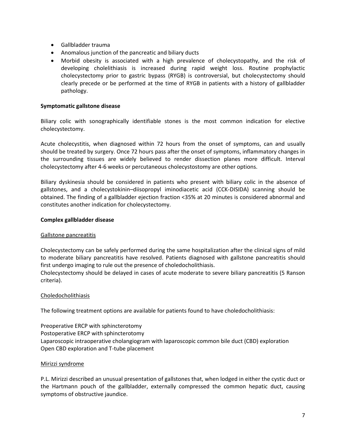- Gallbladder trauma
- Anomalous junction of the pancreatic and biliary ducts
- Morbid obesity is associated with a high prevalence of cholecystopathy, and the risk of developing cholelithiasis is increased during rapid weight loss. Routine prophylactic cholecystectomy prior to gastric bypass (RYGB) is controversial, but cholecystectomy should clearly precede or be performed at the time of RYGB in patients with a history of gallbladder pathology.

#### **Symptomatic gallstone disease**

Biliary colic with sonographically identifiable stones is the most common indication for elective cholecystectomy.

Acute cholecystitis, when diagnosed within 72 hours from the onset of symptoms, can and usually should be treated by surgery. Once 72 hours pass after the onset of symptoms, inflammatory changes in the surrounding tissues are widely believed to render dissection planes more difficult. Interval cholecystectomy after 4-6 weeks or percutaneous cholecystostomy are other options.

Biliary dyskinesia should be considered in patients who present with biliary colic in the absence of gallstones, and a cholecystokinin–diisopropyl iminodiacetic acid (CCK-DISIDA) scanning should be obtained. The finding of a gallbladder ejection fraction <35% at 20 minutes is considered abnormal and constitutes another indication for cholecystectomy.

#### **Complex gallbladder disease**

#### Gallstone pancreatitis

Cholecystectomy can be safely performed during the same hospitalization after the clinical signs of mild to moderate biliary pancreatitis have resolved. Patients diagnosed with gallstone pancreatitis should first undergo imaging to rule out the presence of choledocholithiasis.

Cholecystectomy should be delayed in cases of acute moderate to severe biliary pancreatitis (5 Ranson criteria).

#### Choledocholithiasis

The following treatment options are available for patients found to have choledocholithiasis:

Preoperative ERCP with sphincterotomy Postoperative ERCP with sphincterotomy Laparoscopic intraoperative cholangiogram with laparoscopic common bile duct (CBD) exploration Open CBD exploration and T-tube placement

#### Mirizzi syndrome

P.L. Mirizzi described an unusual presentation of gallstones that, when lodged in either the cystic duct or the Hartmann pouch of the gallbladder, externally compressed the common hepatic duct, causing symptoms of obstructive jaundice.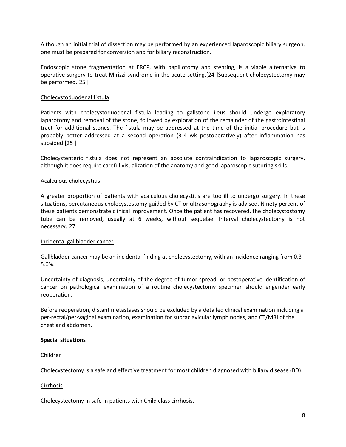Although an initial trial of dissection may be performed by an experienced laparoscopic biliary surgeon, one must be prepared for conversion and for biliary reconstruction.

Endoscopic stone fragmentation at ERCP, with papillotomy and stenting, is a viable alternative to operative surgery to treat Mirizzi syndrome in the acute setting.[24 ]Subsequent cholecystectomy may be performed.[25 ]

#### Cholecystoduodenal fistula

Patients with cholecystoduodenal fistula leading to gallstone ileus should undergo exploratory laparotomy and removal of the stone, followed by exploration of the remainder of the gastrointestinal tract for additional stones. The fistula may be addressed at the time of the initial procedure but is probably better addressed at a second operation (3-4 wk postoperatively) after inflammation has subsided.[25 ]

Cholecystenteric fistula does not represent an absolute contraindication to laparoscopic surgery, although it does require careful visualization of the anatomy and good laparoscopic suturing skills.

#### Acalculous cholecystitis

A greater proportion of patients with acalculous cholecystitis are too ill to undergo surgery. In these situations, percutaneous cholecystostomy guided by CT or ultrasonography is advised. Ninety percent of these patients demonstrate clinical improvement. Once the patient has recovered, the cholecystostomy tube can be removed, usually at 6 weeks, without sequelae. Interval cholecystectomy is not necessary.[27 ]

#### Incidental gallbladder cancer

Gallbladder cancer may be an incidental finding at cholecystectomy, with an incidence ranging from 0.3- 5.0%.

Uncertainty of diagnosis, uncertainty of the degree of tumor spread, or postoperative identification of cancer on pathological examination of a routine cholecystectomy specimen should engender early reoperation.

Before reoperation, distant metastases should be excluded by a detailed clinical examination including a per-rectal/per-vaginal examination, examination for supraclavicular lymph nodes, and CT/MRI of the chest and abdomen.

#### **Special situations**

Children

Cholecystectomy is a safe and effective treatment for most children diagnosed with biliary disease (BD).

#### Cirrhosis

Cholecystectomy in safe in patients with Child class cirrhosis.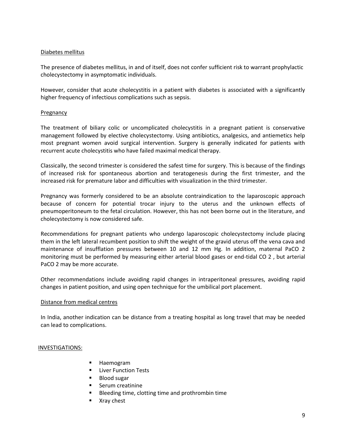#### Diabetes mellitus

The presence of diabetes mellitus, in and of itself, does not confer sufficient risk to warrant prophylactic cholecystectomy in asymptomatic individuals.

However, consider that acute cholecystitis in a patient with diabetes is associated with a significantly higher frequency of infectious complications such as sepsis.

#### Pregnancy

The treatment of biliary colic or uncomplicated cholecystitis in a pregnant patient is conservative management followed by elective cholecystectomy. Using antibiotics, analgesics, and antiemetics help most pregnant women avoid surgical intervention. Surgery is generally indicated for patients with recurrent acute cholecystitis who have failed maximal medical therapy.

Classically, the second trimester is considered the safest time for surgery. This is because of the findings of increased risk for spontaneous abortion and teratogenesis during the first trimester, and the increased risk for premature labor and difficulties with visualization in the third trimester.

Pregnancy was formerly considered to be an absolute contraindication to the laparoscopic approach because of concern for potential trocar injury to the uterus and the unknown effects of pneumoperitoneum to the fetal circulation. However, this has not been borne out in the literature, and cholecystectomy is now considered safe.

Recommendations for pregnant patients who undergo laparoscopic cholecystectomy include placing them in the left lateral recumbent position to shift the weight of the gravid uterus off the vena cava and maintenance of insufflation pressures between 10 and 12 mm Hg. In addition, maternal PaCO 2 monitoring must be performed by measuring either arterial blood gases or end-tidal CO 2 , but arterial PaCO 2 may be more accurate.

Other recommendations include avoiding rapid changes in intraperitoneal pressures, avoiding rapid changes in patient position, and using open technique for the umbilical port placement.

#### Distance from medical centres

In India, another indication can be distance from a treating hospital as long travel that may be needed can lead to complications.

#### INVESTIGATIONS:

- **Haemogram**
- **E** Liver Function Tests
- **Blood sugar**
- **Serum creatinine**
- Bleeding time, clotting time and prothrombin time
- **No. 2** Xray chest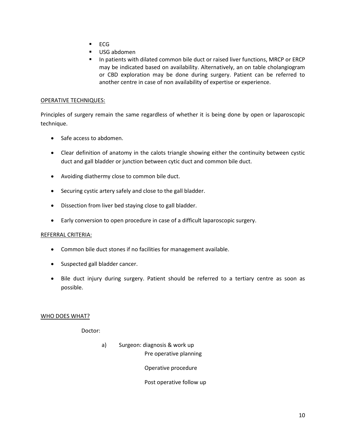- $ECG$
- USG abdomen
- **IF In patients with dilated common bile duct or raised liver functions, MRCP or ERCP** may be indicated based on availability. Alternatively, an on table cholangiogram or CBD exploration may be done during surgery. Patient can be referred to another centre in case of non availability of expertise or experience.

#### OPERATIVE TECHNIQUES:

Principles of surgery remain the same regardless of whether it is being done by open or laparoscopic technique.

- Safe access to abdomen.
- Clear definition of anatomy in the calots triangle showing either the continuity between cystic duct and gall bladder or junction between cytic duct and common bile duct.
- Avoiding diathermy close to common bile duct.
- Securing cystic artery safely and close to the gall bladder.
- Dissection from liver bed staying close to gall bladder.
- Early conversion to open procedure in case of a difficult laparoscopic surgery.

#### REFERRAL CRITERIA:

- Common bile duct stones if no facilities for management available.
- Suspected gall bladder cancer.
- Bile duct injury during surgery. Patient should be referred to a tertiary centre as soon as possible.

#### WHO DOES WHAT?

Doctor:

a) Surgeon: diagnosis & work up Pre operative planning

Operative procedure

Post operative follow up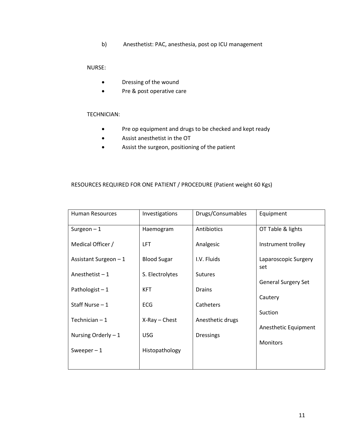b) Anesthetist: PAC, anesthesia, post op ICU management

#### NURSE:

- Dressing of the wound
- Pre & post operative care

#### TECHNICIAN:

- Pre op equipment and drugs to be checked and kept ready
- Assist anesthetist in the OT
- Assist the surgeon, positioning of the patient

#### RESOURCES REQUIRED FOR ONE PATIENT / PROCEDURE (Patient weight 60 Kgs)

| <b>Human Resources</b> | Investigations     | Drugs/Consumables | Equipment                   |
|------------------------|--------------------|-------------------|-----------------------------|
| Surgeon $-1$           | Haemogram          | Antibiotics       | OT Table & lights           |
| Medical Officer /      | <b>LFT</b>         | Analgesic         | Instrument trolley          |
| Assistant Surgeon - 1  | <b>Blood Sugar</b> | I.V. Fluids       | Laparoscopic Surgery<br>set |
| Anesthetist $-1$       | S. Electrolytes    | <b>Sutures</b>    | <b>General Surgery Set</b>  |
| Pathologist $-1$       | <b>KFT</b>         | <b>Drains</b>     | Cautery                     |
| Staff Nurse - 1        | <b>ECG</b>         | Catheters         | Suction                     |
| Technician $-1$        | $X-Ray$ - Chest    | Anesthetic drugs  | Anesthetic Equipment        |
| Nursing Orderly $-1$   | <b>USG</b>         | <b>Dressings</b>  | <b>Monitors</b>             |
| Sweeper $-1$           | Histopathology     |                   |                             |
|                        |                    |                   |                             |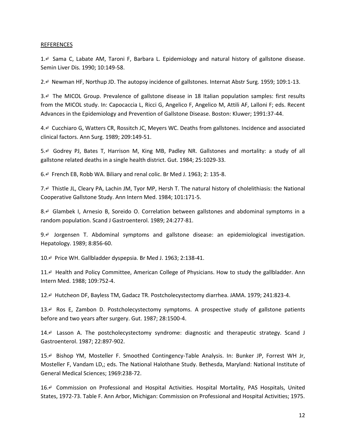#### REFERENCES

1.↵ Sama C, Labate AM, Taroni F, Barbara L. Epidemiology and natural history of gallstone disease. Semin Liver Dis. 1990; 10:149-58.

2.↵ Newman HF, Northup JD. The autopsy incidence of gallstones. Internat Abstr Surg. 1959; 109:1-13.

3.↵ The MICOL Group. Prevalence of gallstone disease in 18 Italian population samples: first results from the MICOL study. In: Capocaccia L, Ricci G, Angelico F, Angelico M, Attili AF, Lalloni F; eds. Recent Advances in the Epidemiology and Prevention of Gallstone Disease. Boston: Kluwer; 1991:37-44.

4.↵ Cucchiaro G, Watters CR, Rossitch JC, Meyers WC. Deaths from gallstones. Incidence and associated clinical factors. Ann Surg. 1989; 209:149-51.

5.↵ Godrey PJ, Bates T, Harrison M, King MB, Padley NR. Gallstones and mortality: a study of all gallstone related deaths in a single health district. Gut. 1984; 25:1029-33.

6.↵ French EB, Robb WA. Biliary and renal colic. Br Med J. 1963; 2: 135-8.

7.↵ Thistle JL, Cleary PA, Lachin JM, Tyor MP, Hersh T. The natural history of cholelithiasis: the National Cooperative Gallstone Study. Ann Intern Med. 1984; 101:171-5.

8.↵ Glambek I, Arnesio B, Soreido O. Correlation between gallstones and abdominal symptoms in a random population. Scand J Gastroenterol. 1989; 24:277-81.

9.↵ Jorgensen T. Abdominal symptoms and gallstone disease: an epidemiological investigation. Hepatology. 1989; 8:856-60.

10.↵ Price WH. Gallbladder dyspepsia. Br Med J. 1963; 2:138-41.

11.↵ Health and Policy Committee, American College of Physicians. How to study the gallbladder. Ann Intern Med. 1988; 109:752-4.

12.↵ Hutcheon DF, Bayless TM, Gadacz TR. Postcholecystectomy diarrhea. JAMA. 1979; 241:823-4.

13.↵ Ros E, Zambon D. Postcholecystectomy symptoms. A prospective study of gallstone patients before and two years after surgery. Gut. 1987; 28:1500-4.

14.↵ Lasson A. The postcholecystectomy syndrome: diagnostic and therapeutic strategy. Scand J Gastroenterol. 1987; 22:897-902.

15.↵ Bishop YM, Mosteller F. Smoothed Contingency-Table Analysis. In: Bunker JP, Forrest WH Jr, Mosteller F, Vandam LD,; eds. The National Halothane Study. Bethesda, Maryland: National Institute of General Medical Sciences; 1969:238-72.

16.↵ Commission on Professional and Hospital Activities. Hospital Mortality, PAS Hospitals, United States, 1972-73. Table F. Ann Arbor, Michigan: Commission on Professional and Hospital Activities; 1975.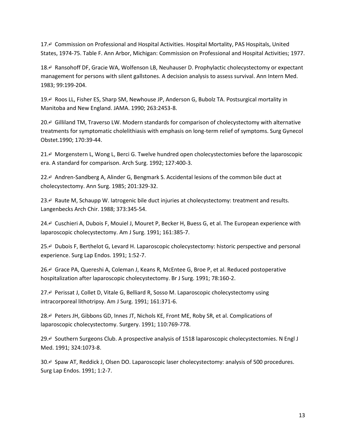17.↵ Commission on Professional and Hospital Activities. Hospital Mortality, PAS Hospitals, United States, 1974-75. Table F. Ann Arbor, Michigan: Commission on Professional and Hospital Activities; 1977.

18.↵ Ransohoff DF, Gracie WA, Wolfenson LB, Neuhauser D. Prophylactic cholecystectomy or expectant management for persons with silent gallstones. A decision analysis to assess survival. Ann Intern Med. 1983; 99:199-204.

19.↵ Roos LL, Fisher ES, Sharp SM, Newhouse JP, Anderson G, Bubolz TA. Postsurgical mortality in Manitoba and New England. JAMA. 1990; 263:2453-8.

20.↵ Gilliland TM, Traverso LW. Modern standards for comparison of cholecystectomy with alternative treatments for symptomatic cholelithiasis with emphasis on long-term relief of symptoms. Surg Gynecol Obstet.1990; 170:39-44.

21.↵ Morgenstern L, Wong L, Berci G. Twelve hundred open cholecystectomies before the laparoscopic era. A standard for comparison. Arch Surg. 1992; 127:400-3.

22.↵ Andren-Sandberg A, Alinder G, Bengmark S. Accidental lesions of the common bile duct at cholecystectomy. Ann Surg. 1985; 201:329-32.

23.↵ Raute M, Schaupp W. Iatrogenic bile duct injuries at cholecystectomy: treatment and results. Langenbecks Arch Chir. 1988; 373:345-54.

24.↵ Cuschieri A, Dubois F, Mouiel J, Mouret P, Becker H, Buess G, et al. The European experience with laparoscopic cholecystectomy. Am J Surg. 1991; 161:385-7.

25.↵ Dubois F, Berthelot G, Levard H. Laparoscopic cholecystectomy: historic perspective and personal experience. Surg Lap Endos. 1991; 1:52-7.

26.↵ Grace PA, Quereshi A, Coleman J, Keans R, McEntee G, Broe P, et al. Reduced postoperative hospitalization after laparoscopic cholecystectomy. Br J Surg. 1991; 78:160-2.

27.↵ Perissat J, Collet D, Vitale G, Belliard R, Sosso M. Laparoscopic cholecystectomy using intracorporeal lithotripsy. Am J Surg. 1991; 161:371-6.

28.↵ Peters JH, Gibbons GD, Innes JT, Nichols KE, Front ME, Roby SR, et al. Complications of laparoscopic cholecystectomy. Surgery. 1991; 110:769-778.

29.↵ Southern Surgeons Club. A prospective analysis of 1518 laparoscopic cholecystectomies. N Engl J Med. 1991; 324:1073-8.

30.↵ Spaw AT, Reddick J, Olsen DO. Laparoscopic laser cholecystectomy: analysis of 500 procedures. Surg Lap Endos. 1991; 1:2-7.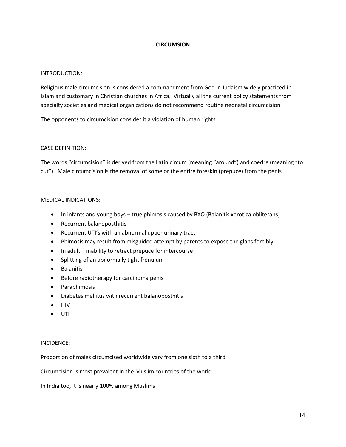#### **CIRCUMSION**

#### INTRODUCTION:

Religious male circumcision is considered a commandment from God in Judaism widely practiced in Islam and customary in Christian churches in Africa. Virtually all the current policy statements from specialty societies and medical organizations do not recommend routine neonatal circumcision

The opponents to circumcision consider it a violation of human rights

#### CASE DEFINITION:

The words "circumcision" is derived from the Latin circum (meaning "around") and coedre (meaning "to cut"). Male circumcision is the removal of some or the entire foreskin (prepuce) from the penis

#### MEDICAL INDICATIONS:

- In infants and young boys true phimosis caused by BXO (Balanitis xerotica obliterans)
- Recurrent balanoposthitis
- Recurrent UTI's with an abnormal upper urinary tract
- Phimosis may result from misguided attempt by parents to expose the glans forcibly
- In adult inability to retract prepuce for intercourse
- Splitting of an abnormally tight frenulum
- **•** Balanitis
- Before radiotherapy for carcinoma penis
- Paraphimosis
- Diabetes mellitus with recurrent balanoposthitis
- HIV
- UTI

#### INCIDENCE:

Proportion of males circumcised worldwide vary from one sixth to a third

Circumcision is most prevalent in the Muslim countries of the world

In India too, it is nearly 100% among Muslims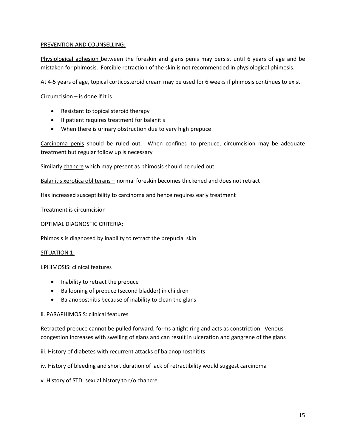#### PREVENTION AND COUNSELLING:

Physiological adhesion between the foreskin and glans penis may persist until 6 years of age and be mistaken for phimosis. Forcible retraction of the skin is not recommended in physiological phimosis.

At 4-5 years of age, topical corticosteroid cream may be used for 6 weeks if phimosis continues to exist.

Circumcision – is done if it is

- Resistant to topical steroid therapy
- If patient requires treatment for balanitis
- When there is urinary obstruction due to very high prepuce

Carcinoma penis should be ruled out. When confined to prepuce, circumcision may be adequate treatment but regular follow up is necessary

Similarly chancre which may present as phimosis should be ruled out

Balanitis xerotica obliterans – normal foreskin becomes thickened and does not retract

Has increased susceptibility to carcinoma and hence requires early treatment

Treatment is circumcision

#### OPTIMAL DIAGNOSTIC CRITERIA:

Phimosis is diagnosed by inability to retract the prepucial skin

#### SITUATION 1:

i.PHIMOSIS: clinical features

- Inability to retract the prepuce
- Ballooning of prepuce (second bladder) in children
- Balanoposthitis because of inability to clean the glans

#### ii. PARAPHIMOSIS: clinical features

Retracted prepuce cannot be pulled forward; forms a tight ring and acts as constriction. Venous congestion increases with swelling of glans and can result in ulceration and gangrene of the glans

#### iii. History of diabetes with recurrent attacks of balanophosthitits

iv. History of bleeding and short duration of lack of retractibility would suggest carcinoma

v. History of STD; sexual history to r/o chancre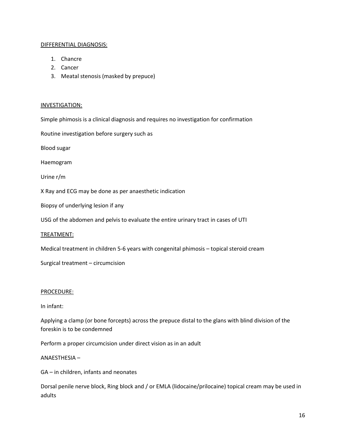#### DIFFERENTIAL DIAGNOSIS:

- 1. Chancre
- 2. Cancer
- 3. Meatal stenosis (masked by prepuce)

#### INVESTIGATION:

Simple phimosis is a clinical diagnosis and requires no investigation for confirmation

Routine investigation before surgery such as

Blood sugar

Haemogram

Urine r/m

X Ray and ECG may be done as per anaesthetic indication

Biopsy of underlying lesion if any

USG of the abdomen and pelvis to evaluate the entire urinary tract in cases of UTI

TREATMENT:

Medical treatment in children 5-6 years with congenital phimosis – topical steroid cream

Surgical treatment – circumcision

#### PROCEDURE:

In infant:

Applying a clamp (or bone forcepts) across the prepuce distal to the glans with blind division of the foreskin is to be condemned

Perform a proper circumcision under direct vision as in an adult

#### ANAESTHESIA –

GA – in children, infants and neonates

Dorsal penile nerve block, Ring block and / or EMLA (lidocaine/prilocaine) topical cream may be used in adults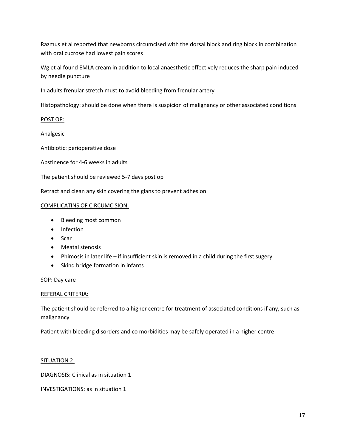Razmus et al reported that newborns circumcised with the dorsal block and ring block in combination with oral cucrose had lowest pain scores

Wg et al found EMLA cream in addition to local anaesthetic effectively reduces the sharp pain induced by needle puncture

In adults frenular stretch must to avoid bleeding from frenular artery

Histopathology: should be done when there is suspicion of malignancy or other associated conditions

POST OP:

Analgesic

Antibiotic: perioperative dose

Abstinence for 4-6 weeks in adults

The patient should be reviewed 5-7 days post op

Retract and clean any skin covering the glans to prevent adhesion

#### COMPLICATINS OF CIRCUMCISION:

- Bleeding most common
- Infection
- Scar
- Meatal stenosis
- Phimosis in later life if insufficient skin is removed in a child during the first sugery
- Skind bridge formation in infants

SOP: Day care

#### REFERAL CRITERIA:

The patient should be referred to a higher centre for treatment of associated conditions if any, such as malignancy

Patient with bleeding disorders and co morbidities may be safely operated in a higher centre

SITUATION 2:

DIAGNOSIS: Clinical as in situation 1

INVESTIGATIONS: as in situation 1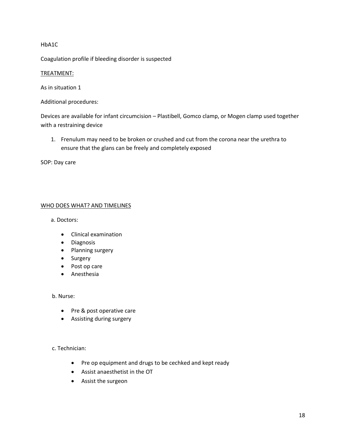#### HbA1C

Coagulation profile if bleeding disorder is suspected

#### TREATMENT:

As in situation 1

Additional procedures:

Devices are available for infant circumcision – Plastibell, Gomco clamp, or Mogen clamp used together with a restraining device

1. Frenulum may need to be broken or crushed and cut from the corona near the urethra to ensure that the glans can be freely and completely exposed

SOP: Day care

#### WHO DOES WHAT? AND TIMELINES

a. Doctors:

- Clinical examination
- Diagnosis
- Planning surgery
- Surgery
- Post op care
- **•** Anesthesia

#### b. Nurse:

- Pre & post operative care
- Assisting during surgery

#### c. Technician:

- Pre op equipment and drugs to be cechked and kept ready
- Assist anaesthetist in the OT
- Assist the surgeon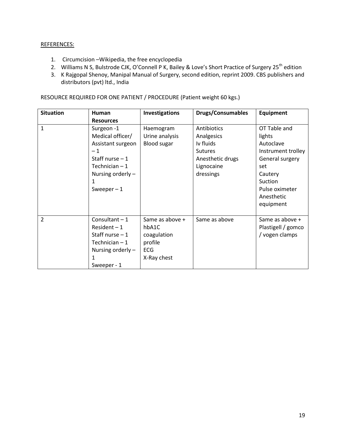#### REFERENCES:

- 1. Circumcision –Wikipedia, the free encyclopedia
- 2. Williams N S, Bulstrode CJK, O'Connell P K, Bailey & Love's Short Practice of Surgery 25<sup>th</sup> edition
- 3. K Rajgopal Shenoy, Manipal Manual of Surgery, second edition, reprint 2009. CBS publishers and distributors (pvt) ltd., India

RESOURCE REQUIRED FOR ONE PATIENT / PROCEDURE (Patient weight 60 kgs.)

| <b>Situation</b> | Human                                                                                                                   | Investigations                                                                  | <b>Drugs/Consumables</b>                                                                                | <b>Equipment</b>                                                                               |
|------------------|-------------------------------------------------------------------------------------------------------------------------|---------------------------------------------------------------------------------|---------------------------------------------------------------------------------------------------------|------------------------------------------------------------------------------------------------|
|                  | <b>Resources</b>                                                                                                        |                                                                                 |                                                                                                         |                                                                                                |
| $\mathbf{1}$     | Surgeon -1<br>Medical officer/<br>Assistant surgeon<br>$-1$<br>Staff nurse $-1$<br>Technician $-1$<br>Nursing orderly - | Haemogram<br>Urine analysis<br><b>Blood sugar</b>                               | Antibiotics<br>Analgesics<br>Iv fluids<br><b>Sutures</b><br>Anesthetic drugs<br>Lignocaine<br>dressings | OT Table and<br>lights<br>Autoclave<br>Instrument trolley<br>General surgery<br>set<br>Cautery |
|                  | 1<br>Sweeper $-1$                                                                                                       |                                                                                 |                                                                                                         | Suction<br>Pulse oximeter<br>Anesthetic<br>equipment                                           |
| $\overline{2}$   | Consultant $-1$<br>$Resident-1$<br>Staff nurse $-1$<br>Technician $-1$<br>Nursing orderly $-$<br>1<br>Sweeper - 1       | Same as above +<br>hbA1C<br>coagulation<br>profile<br><b>ECG</b><br>X-Ray chest | Same as above                                                                                           | Same as above +<br>Plastigell / gomco<br>/ vogen clamps                                        |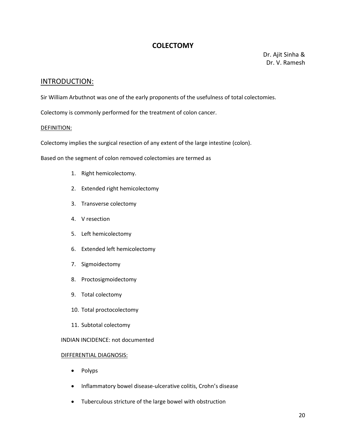#### **COLECTOMY**

 Dr. Ajit Sinha & Dr. V. Ramesh

#### INTRODUCTION:

Sir William Arbuthnot was one of the early proponents of the usefulness of total colectomies.

Colectomy is commonly performed for the treatment of colon cancer.

#### DEFINITION:

Colectomy implies the surgical resection of any extent of the large intestine (colon).

Based on the segment of colon removed colectomies are termed as

- 1. Right hemicolectomy.
- 2. Extended right hemicolectomy
- 3. Transverse colectomy
- 4. V resection
- 5. Left hemicolectomy
- 6. Extended left hemicolectomy
- 7. Sigmoidectomy
- 8. Proctosigmoidectomy
- 9. Total colectomy
- 10. Total proctocolectomy
- 11. Subtotal colectomy

INDIAN INCIDENCE: not documented

#### DIFFERENTIAL DIAGNOSIS:

- Polyps
- Inflammatory bowel disease-ulcerative colitis, Crohn's disease
- Tuberculous stricture of the large bowel with obstruction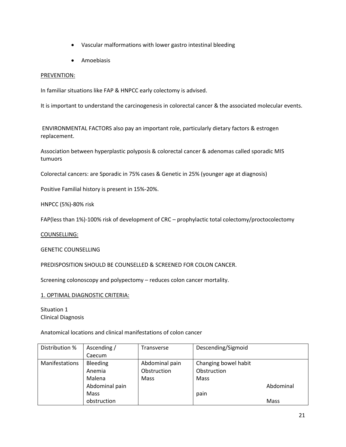- Vascular malformations with lower gastro intestinal bleeding
- Amoebiasis

#### PREVENTION:

In familiar situations like FAP & HNPCC early colectomy is advised.

It is important to understand the carcinogenesis in colorectal cancer & the associated molecular events.

ENVIRONMENTAL FACTORS also pay an important role, particularly dietary factors & estrogen replacement.

Association between hyperplastic polyposis & colorectal cancer & adenomas called sporadic MIS tumuors

Colorectal cancers: are Sporadic in 75% cases & Genetic in 25% (younger age at diagnosis)

Positive Familial history is present in 15%-20%.

HNPCC (5%)-80% risk

FAP(less than 1%)-100% risk of development of CRC – prophylactic total colectomy/proctocolectomy

COUNSELLING:

GENETIC COUNSELLING

PREDISPOSITION SHOULD BE COUNSELLED & SCREENED FOR COLON CANCER.

Screening colonoscopy and polypectomy – reduces colon cancer mortality.

1. OPTIMAL DIAGNOSTIC CRITERIA:

Situation 1 Clinical Diagnosis

Anatomical locations and clinical manifestations of colon cancer

| Distribution %        | Ascending /    | Transverse     | Descending/Sigmoid   |           |
|-----------------------|----------------|----------------|----------------------|-----------|
|                       | Caecum         |                |                      |           |
| <b>Manifestations</b> | Bleeding       | Abdominal pain | Changing bowel habit |           |
|                       | Anemia         | Obstruction    | Obstruction          |           |
|                       | Malena         | <b>Mass</b>    | Mass                 |           |
|                       | Abdominal pain |                |                      | Abdominal |
|                       | <b>Mass</b>    |                | pain                 |           |
|                       | obstruction    |                |                      | Mass      |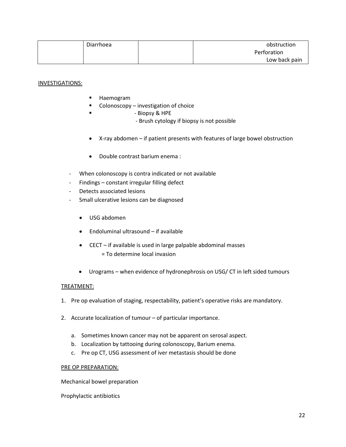| Diarrhoea | obstruction   |
|-----------|---------------|
|           | Perforation   |
|           | Low back pain |

#### INVESTIGATIONS:

- **Haemogram**
- $\blacksquare$  Colonoscopy investigation of choice
- Biopsy & HPE
	- Brush cytology if biopsy is not possible
- X-ray abdomen if patient presents with features of large bowel obstruction
- Double contrast barium enema :
- When colonoscopy is contra indicated or not available
- Findings constant irregular filling defect
- Detects associated lesions
- Small ulcerative lesions can be diagnosed
	- USG abdomen
	- Endoluminal ultrasound if available
	- CECT if available is used in large palpable abdominal masses = To determine local invasion
	- Urograms when evidence of hydronephrosis on USG/ CT in left sided tumours

#### TREATMENT:

- 1. Pre op evaluation of staging, respectability, patient's operative risks are mandatory.
- 2. Accurate localization of tumour of particular importance.
	- a. Sometimes known cancer may not be apparent on serosal aspect.
	- b. Localization by tattooing during colonoscopy, Barium enema.
	- c. Pre op CT, USG assessment of iver metastasis should be done

#### PRE OP PREPARATION:

Mechanical bowel preparation

Prophylactic antibiotics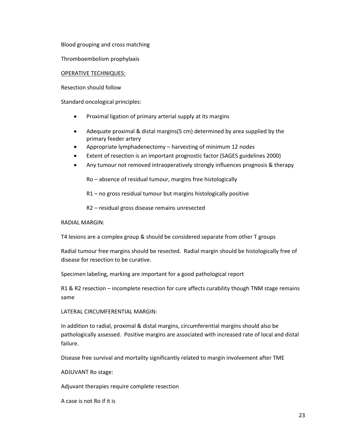Blood grouping and cross matching

Thromboembolism prophylaxis

#### OPERATIVE TECHNIQUES:

Resection should follow

Standard oncological principles:

- Proximal ligation of primary arterial supply at its margins
- Adequate proximal & distal margins(5 cm) determined by area supplied by the primary feeder artery
- Appropriate lymphadenectomy harvesting of minimum 12 nodes
- Extent of resection is an important prognostic factor (SAGES guidelines 2000)
- Any tumour not removed intraoperatively strongly influences prognosis & therapy

Ro – absence of residual tumour, margins free histologically

R1 – no gross residual tumour but margins histologically positive

R2 – residual gross disease remains unresected

RADIAL MARGIN:

T4 lesions are a complex group & should be considered separate from other T groups

Radial tumour free margins should be resected. Radial margin should be histologically free of disease for resection to be curative.

Specimen labeling, marking are important for a good pathological report

R1 & R2 resection – incomplete resection for cure affects curability though TNM stage remains same

LATERAL CIRCUMFERENTIAL MARGIN:

In addition to radial, proximal & distal margins, circumferential margins should also be pathologically assessed. Positive margins are associated with increased rate of local and distal failure.

Disease free survival and mortality significantly related to margin involvement after TME

ADJUVANT Ro stage:

Adjuvant therapies require complete resection

A case is not Ro if it is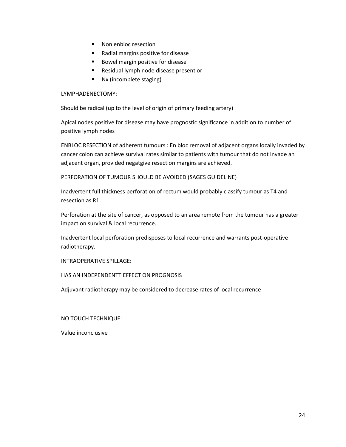- Non enbloc resection
- Radial margins positive for disease
- **Bowel margin positive for disease**
- **Residual lymph node disease present or**
- Nx (incomplete staging)

#### LYMPHADENECTOMY:

Should be radical (up to the level of origin of primary feeding artery)

Apical nodes positive for disease may have prognostic significance in addition to number of positive lymph nodes

ENBLOC RESECTION of adherent tumours : En bloc removal of adjacent organs locally invaded by cancer colon can achieve survival rates similar to patients with tumour that do not invade an adjacent organ, provided negatgive resection margins are achieved.

PERFORATION OF TUMOUR SHOULD BE AVOIDED (SAGES GUIDELINE)

Inadvertent full thickness perforation of rectum would probably classify tumour as T4 and resection as R1

Perforation at the site of cancer, as opposed to an area remote from the tumour has a greater impact on survival & local recurrence.

Inadvertent local perforation predisposes to local recurrence and warrants post-operative radiotherapy.

INTRAOPERATIVE SPILLAGE:

#### HAS AN INDEPENDENTT EFFECT ON PROGNOSIS

Adjuvant radiotherapy may be considered to decrease rates of local recurrence

NO TOUCH TECHNIQUE:

Value inconclusive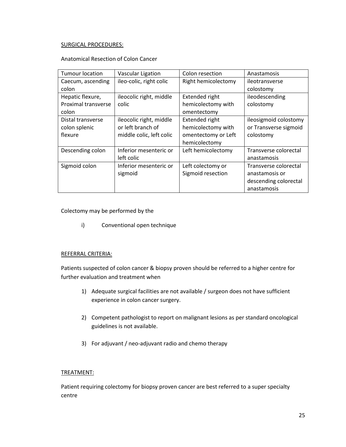#### SURGICAL PROCEDURES:

#### Anatomical Resection of Colon Cancer

| <b>Tumour location</b>     | <b>Vascular Ligation</b> | Colon resection     | Anastamosis           |
|----------------------------|--------------------------|---------------------|-----------------------|
| Caecum, ascending          | ileo-colic, right colic  | Right hemicolectomy | ileotransverse        |
| colon                      |                          |                     | colostomy             |
| Hepatic flexure,           | ileocolic right, middle  | Extended right      | ileodescending        |
| <b>Proximal transverse</b> | colic                    | hemicolectomy with  | colostomy             |
| colon                      |                          | omentectomy         |                       |
| Distal transverse          | ileocolic right, middle  | Extended right      | ileosigmoid colostomy |
| colon splenic              | or left branch of        | hemicolectomy with  | or Transverse sigmoid |
| flexure                    | middle colic, left colic | omentectomy or Left | colostomy             |
|                            |                          | hemicolectomy       |                       |
| Descending colon           | Inferior mesenteric or   | Left hemicolectomy  | Transverse colorectal |
|                            | left colic               |                     | anastamosis           |
| Sigmoid colon              | Inferior mesenteric or   | Left colectomy or   | Transverse colorectal |
|                            | sigmoid                  | Sigmoid resection   | anastamosis or        |
|                            |                          |                     | descending colorectal |
|                            |                          |                     | anastamosis           |

#### Colectomy may be performed by the

i) Conventional open technique

#### REFERRAL CRITERIA:

Patients suspected of colon cancer & biopsy proven should be referred to a higher centre for further evaluation and treatment when

- 1) Adequate surgical facilities are not available / surgeon does not have sufficient experience in colon cancer surgery.
- 2) Competent pathologist to report on malignant lesions as per standard oncological guidelines is not available.
- 3) For adjuvant / neo-adjuvant radio and chemo therapy

#### TREATMENT:

Patient requiring colectomy for biopsy proven cancer are best referred to a super specialty centre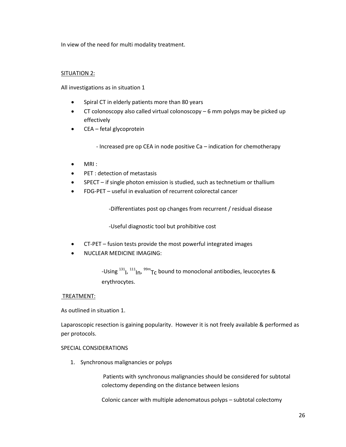In view of the need for multi modality treatment.

#### SITUATION 2:

All investigations as in situation 1

- Spiral CT in elderly patients more than 80 years
- CT colonoscopy also called virtual colonoscopy 6 mm polyps may be picked up effectively
- CEA fetal glycoprotein

- Increased pre op CEA in node positive Ca – indication for chemotherapy

- $\bullet$  MRI :
- PET : detection of metastasis
- SPECT if single photon emission is studied, such as technetium or thallium
- FDG-PET useful in evaluation of recurrent colorectal cancer

-Differentiates post op changes from recurrent / residual disease

-Useful diagnostic tool but prohibitive cost

- CT-PET fusion tests provide the most powerful integrated images
- NUCLEAR MEDICINE IMAGING:

-Using  $^{131}$ ,  $^{111}$ <sub>ln</sub>,  $^{99m}$ <sub>TC</sub> bound to monoclonal antibodies, leucocytes & erythrocytes.

#### TREATMENT:

As outlined in situation 1.

Laparoscopic resection is gaining popularity. However it is not freely available & performed as per protocols.

#### SPECIAL CONSIDERATIONS

1. Synchronous malignancies or polyps

Patients with synchronous malignancies should be considered for subtotal colectomy depending on the distance between lesions

Colonic cancer with multiple adenomatous polyps – subtotal colectomy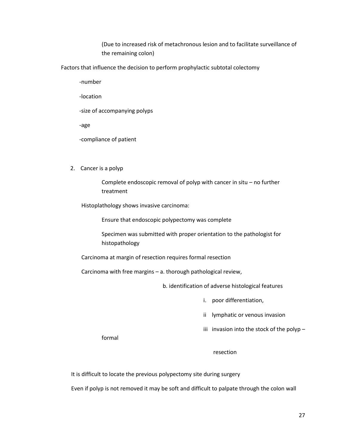(Due to increased risk of metachronous lesion and to facilitate surveillance of the remaining colon)

Factors that influence the decision to perform prophylactic subtotal colectomy

-number

-location

-size of accompanying polyps

-age

-compliance of patient

2. Cancer is a polyp

Complete endoscopic removal of polyp with cancer in situ – no further treatment

Histoplathology shows invasive carcinoma:

Ensure that endoscopic polypectomy was complete

Specimen was submitted with proper orientation to the pathologist for histopathology

Carcinoma at margin of resection requires formal resection

Carcinoma with free margins – a. thorough pathological review,

b. identification of adverse histological features

i. poor differentiation,

ii lymphatic or venous invasion

iii invasion into the stock of the polyp  $-$ 

formal

#### resection

It is difficult to locate the previous polypectomy site during surgery

Even if polyp is not removed it may be soft and difficult to palpate through the colon wall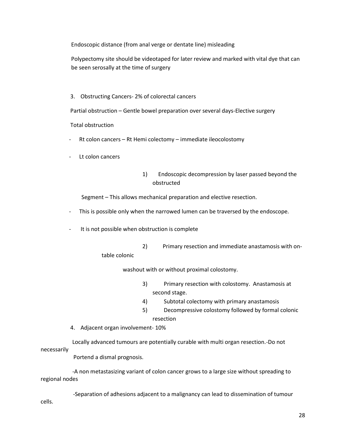Endoscopic distance (from anal verge or dentate line) misleading

Polypectomy site should be videotaped for later review and marked with vital dye that can be seen serosally at the time of surgery

3. Obstructing Cancers- 2% of colorectal cancers

Partial obstruction – Gentle bowel preparation over several days-Elective surgery

Total obstruction

- Rt colon cancers Rt Hemi colectomy immediate ileocolostomy
- Lt colon cancers

#### 1) Endoscopic decompression by laser passed beyond the obstructed

Segment – This allows mechanical preparation and elective resection.

- This is possible only when the narrowed lumen can be traversed by the endoscope.
- It is not possible when obstruction is complete
	- 2) Primary resection and immediate anastamosis with ontable colonic

washout with or without proximal colostomy.

- 3) Primary resection with colostomy. Anastamosis at second stage.
- 4) Subtotal colectomy with primary anastamosis
- 5) Decompressive colostomy followed by formal colonic resection
- 4. Adjacent organ involvement- 10%

 Locally advanced tumours are potentially curable with multi organ resection.-Do not necessarily

Portend a dismal prognosis.

 -A non metastasizing variant of colon cancer grows to a large size without spreading to regional nodes

 -Separation of adhesions adjacent to a malignancy can lead to dissemination of tumour cells.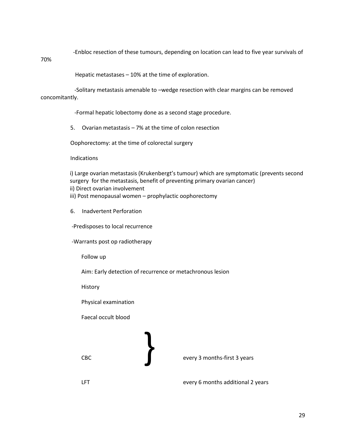-Enbloc resection of these tumours, depending on location can lead to five year survivals of

70%

Hepatic metastases – 10% at the time of exploration.

 -Solitary metastasis amenable to –wedge resection with clear margins can be removed concomitantly.

-Formal hepatic lobectomy done as a second stage procedure.

5. Ovarian metastasis – 7% at the time of colon resection

Oophorectomy: at the time of colorectal surgery

Indications

i) Large ovarian metastasis (Krukenbergt's tumour) which are symptomatic (prevents second surgery for the metastasis, benefit of preventing primary ovarian cancer) ii) Direct ovarian involvement iii) Post menopausal women – prophylactic oophorectomy

6. Inadvertent Perforation

-Predisposes to local recurrence

-Warrants post op radiotherapy

Follow up

Aim: Early detection of recurrence or metachronous lesion

History

Physical examination

Faecal occult blood



LFT EXAMPLE EXAMPLE EVERY 6 months additional 2 years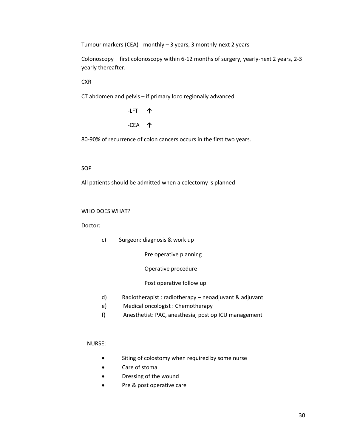Tumour markers (CEA) - monthly – 3 years, 3 monthly-next 2 years

Colonoscopy – first colonoscopy within 6-12 months of surgery, yearly-next 2 years, 2-3 yearly thereafter.

**CXR** 

CT abdomen and pelvis – if primary loco regionally advanced

 -LFT **↑** -CEA **↑**

80-90% of recurrence of colon cancers occurs in the first two years.

#### SOP

All patients should be admitted when a colectomy is planned

#### WHO DOES WHAT?

Doctor:

c) Surgeon: diagnosis & work up

Pre operative planning

Operative procedure

Post operative follow up

- d) Radiotherapist : radiotherapy neoadjuvant & adjuvant
- e) Medical oncologist : Chemotherapy
- f) Anesthetist: PAC, anesthesia, post op ICU management

#### NURSE:

- **•** Siting of colostomy when required by some nurse
- Care of stoma
- Dressing of the wound
- Pre & post operative care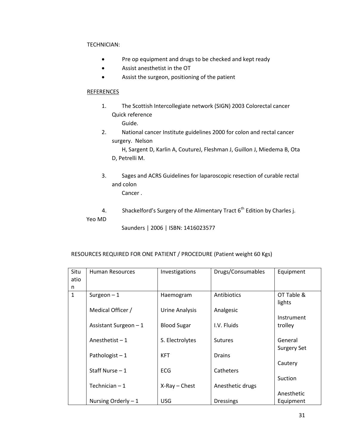#### TECHNICIAN:

- Pre op equipment and drugs to be checked and kept ready
- Assist anesthetist in the OT
- Assist the surgeon, positioning of the patient

#### **REFERENCES**

1. The Scottish Intercollegiate network (SIGN) 2003 Colorectal cancer Quick reference

Guide.

2. National cancer Institute guidelines 2000 for colon and rectal cancer surgery. Nelson

 H, Sargent D, Karlin A, CoutureJ, Fleshman J, Guillon J, Miedema B, Ota D, Petrelli M.

3. Sages and ACRS Guidelines for laparoscopic resection of curable rectal and colon

Cancer .

4. Shackelford's Surgery of the Alimentary Tract  $6<sup>th</sup>$  Edition by Charles j.

Yeo MD

Saunders | 2006 | ISBN: 1416023577

#### RESOURCES REQUIRED FOR ONE PATIENT / PROCEDURE (Patient weight 60 Kgs)

| Situ         | <b>Human Resources</b> | Investigations     | Drugs/Consumables | Equipment          |
|--------------|------------------------|--------------------|-------------------|--------------------|
| atio         |                        |                    |                   |                    |
| n            |                        |                    |                   |                    |
| $\mathbf{1}$ | Surgeon $-1$           | Haemogram          | Antibiotics       | OT Table &         |
|              |                        |                    |                   | lights             |
|              | Medical Officer /      | Urine Analysis     | Analgesic         |                    |
|              |                        |                    |                   | Instrument         |
|              | Assistant Surgeon $-1$ | <b>Blood Sugar</b> | I.V. Fluids       | trolley            |
|              |                        |                    |                   |                    |
|              | Anesthetist $-1$       | S. Electrolytes    | <b>Sutures</b>    | General            |
|              |                        |                    |                   | <b>Surgery Set</b> |
|              | Pathologist $-1$       | <b>KFT</b>         | <b>Drains</b>     |                    |
|              |                        |                    |                   | Cautery            |
|              | Staff Nurse $-1$       | <b>ECG</b>         | Catheters         |                    |
|              |                        |                    |                   | Suction            |
|              | Technician $-1$        | $X-Ray$ - Chest    | Anesthetic drugs  |                    |
|              |                        |                    |                   | Anesthetic         |
|              | Nursing Orderly $-1$   | <b>USG</b>         | <b>Dressings</b>  | Equipment          |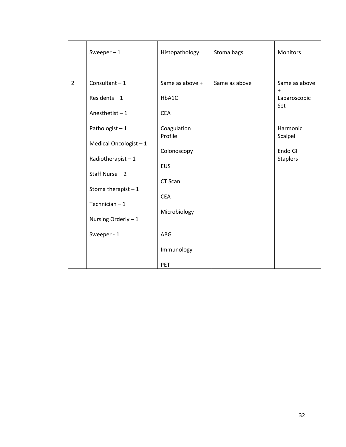|                | Sweeper $-1$            | Histopathology         | Stoma bags    | <b>Monitors</b>            |
|----------------|-------------------------|------------------------|---------------|----------------------------|
|                |                         |                        |               |                            |
| $\overline{2}$ | Consultant $-1$         | Same as above +        | Same as above | Same as above<br>$\ddot{}$ |
|                | Residents $-1$          | HbA1C                  |               | Laparoscopic<br>Set        |
|                | Anesthetist $-1$        | <b>CEA</b>             |               |                            |
|                | Pathologist-1           | Coagulation<br>Profile |               | Harmonic<br>Scalpel        |
|                | Medical Oncologist $-1$ |                        |               |                            |
|                | Radiotherapist $-1$     | Colonoscopy            |               | Endo GI<br><b>Staplers</b> |
|                | Staff Nurse $-2$        | <b>EUS</b>             |               |                            |
|                | Stoma therapist $-1$    | CT Scan                |               |                            |
|                |                         | <b>CEA</b>             |               |                            |
|                | Technician $-1$         | Microbiology           |               |                            |
|                | Nursing Orderly - 1     |                        |               |                            |
|                | Sweeper - 1             | <b>ABG</b>             |               |                            |
|                |                         | Immunology             |               |                            |
|                |                         | PET                    |               |                            |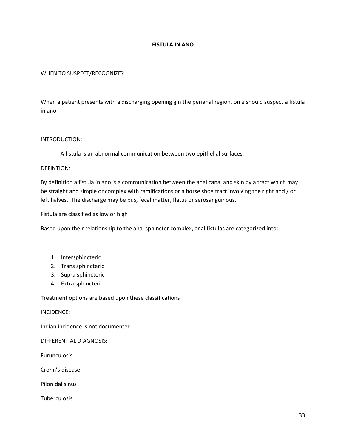#### **FISTULA IN ANO**

#### WHEN TO SUSPECT/RECOGNIZE?

When a patient presents with a discharging opening gin the perianal region, on e should suspect a fistula in ano

#### INTRODUCTION:

A fistula is an abnormal communication between two epithelial surfaces.

#### DEFINTION:

By definition a fistula in ano is a communication between the anal canal and skin by a tract which may be straight and simple or complex with ramifications or a horse shoe tract involving the right and / or left halves. The discharge may be pus, fecal matter, flatus or serosanguinous.

Fistula are classified as low or high

Based upon their relationship to the anal sphincter complex, anal fistulas are categorized into:

- 1. Intersphincteric
- 2. Trans sphincteric
- 3. Supra sphincteric
- 4. Extra sphincteric

Treatment options are based upon these classifications

#### INCIDENCE:

Indian incidence is not documented

#### DIFFERENTIAL DIAGNOSIS:

Furunculosis

Crohn's disease

Pilonidal sinus

**Tuberculosis**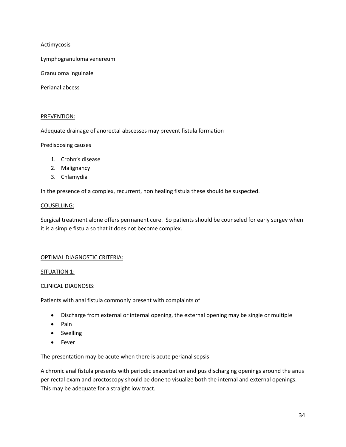Actimycosis

Lymphogranuloma venereum

Granuloma inguinale

Perianal abcess

#### PREVENTION:

Adequate drainage of anorectal abscesses may prevent fistula formation

Predisposing causes

- 1. Crohn's disease
- 2. Malignancy
- 3. Chlamydia

In the presence of a complex, recurrent, non healing fistula these should be suspected.

#### COUSELLING:

Surgical treatment alone offers permanent cure. So patients should be counseled for early surgey when it is a simple fistula so that it does not become complex.

#### OPTIMAL DIAGNOSTIC CRITERIA:

#### SITUATION 1:

#### CLINICAL DIAGNOSIS:

Patients with anal fistula commonly present with complaints of

- Discharge from external or internal opening, the external opening may be single or multiple
- Pain
- Swelling
- Fever

The presentation may be acute when there is acute perianal sepsis

A chronic anal fistula presents with periodic exacerbation and pus discharging openings around the anus per rectal exam and proctoscopy should be done to visualize both the internal and external openings. This may be adequate for a straight low tract.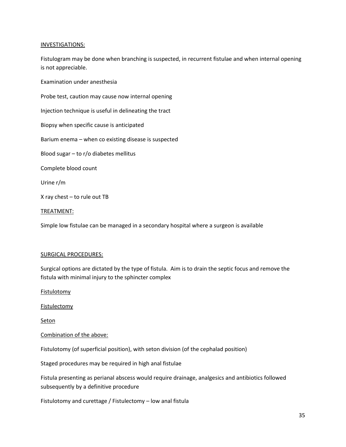#### INVESTIGATIONS:

Fistulogram may be done when branching is suspected, in recurrent fistulae and when internal opening is not appreciable.

Examination under anesthesia

Probe test, caution may cause now internal opening

Injection technique is useful in delineating the tract

Biopsy when specific cause is anticipated

Barium enema – when co existing disease is suspected

Blood sugar – to r/o diabetes mellitus

Complete blood count

Urine r/m

X ray chest – to rule out TB

TREATMENT:

Simple low fistulae can be managed in a secondary hospital where a surgeon is available

#### SURGICAL PROCEDURES:

Surgical options are dictated by the type of fistula. Aim is to drain the septic focus and remove the fistula with minimal injury to the sphincter complex

**Fistulotomy** 

**Fistulectomy** 

Seton

#### Combination of the above:

Fistulotomy (of superficial position), with seton division (of the cephalad position)

Staged procedures may be required in high anal fistulae

Fistula presenting as perianal abscess would require drainage, analgesics and antibiotics followed subsequently by a definitive procedure

Fistulotomy and curettage / Fistulectomy – low anal fistula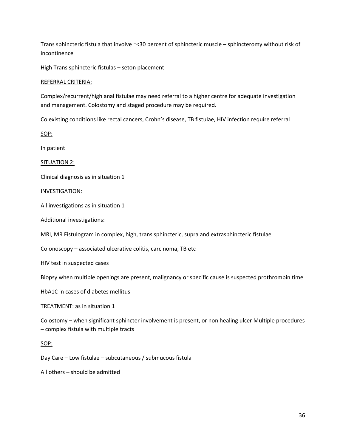Trans sphincteric fistula that involve =<30 percent of sphincteric muscle – sphincteromy without risk of incontinence

High Trans sphincteric fistulas – seton placement

#### REFERRAL CRITERIA:

Complex/recurrent/high anal fistulae may need referral to a higher centre for adequate investigation and management. Colostomy and staged procedure may be required.

Co existing conditions like rectal cancers, Crohn's disease, TB fistulae, HIV infection require referral

SOP:

In patient

SITUATION 2:

Clinical diagnosis as in situation 1

#### INVESTIGATION:

All investigations as in situation 1

Additional investigations:

MRI, MR Fistulogram in complex, high, trans sphincteric, supra and extrasphincteric fistulae

Colonoscopy – associated ulcerative colitis, carcinoma, TB etc

HIV test in suspected cases

Biopsy when multiple openings are present, malignancy or specific cause is suspected prothrombin time

HbA1C in cases of diabetes mellitus

#### TREATMENT: as in situation 1

Colostomy – when significant sphincter involvement is present, or non healing ulcer Multiple procedures – complex fistula with multiple tracts

#### SOP:

Day Care – Low fistulae – subcutaneous / submucous fistula

All others – should be admitted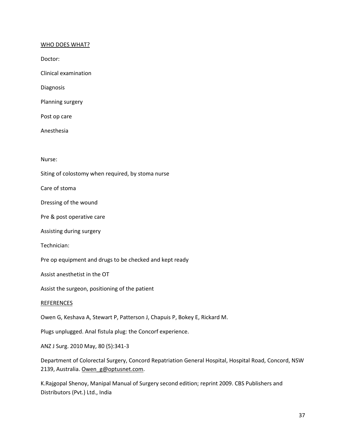### WHO DOES WHAT?

Doctor:

Clinical examination

Diagnosis

Planning surgery

Post op care

Anesthesia

Nurse:

Siting of colostomy when required, by stoma nurse

Care of stoma

Dressing of the wound

Pre & post operative care

Assisting during surgery

Technician:

Pre op equipment and drugs to be checked and kept ready

Assist anesthetist in the OT

Assist the surgeon, positioning of the patient

### REFERENCES

Owen G, Keshava A, Stewart P, Patterson J, Chapuis P, Bokey E, Rickard M.

Plugs unplugged. Anal fistula plug: the Concorf experience.

ANZ J Surg. 2010 May, 80 (5):341-3

Department of Colorectal Surgery, Concord Repatriation General Hospital, Hospital Road, Concord, NSW 2139, Australia. [Owen\\_g@optusnet.com.](mailto:Owen_g@optusnet.com)

K.Rajgopal Shenoy, Manipal Manual of Surgery second edition; reprint 2009. CBS Publishers and Distributors (Pvt.) Ltd., India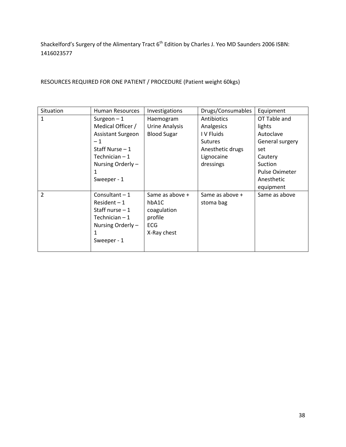Shackelford's Surgery of the Alimentary Tract 6<sup>th</sup> Edition by Charles J. Yeo MD Saunders 2006 ISBN: 1416023577

RESOURCES REQUIRED FOR ONE PATIENT / PROCEDURE (Patient weight 60kgs)

| Situation      | <b>Human Resources</b>   | Investigations     | Drugs/Consumables | Equipment             |
|----------------|--------------------------|--------------------|-------------------|-----------------------|
| 1              | Surgeon $-1$             | Haemogram          | Antibiotics       | OT Table and          |
|                | Medical Officer /        | Urine Analysis     | Analgesics        | lights                |
|                | <b>Assistant Surgeon</b> | <b>Blood Sugar</b> | I V Fluids        | Autoclave             |
|                | $-1$                     |                    | <b>Sutures</b>    | General surgery       |
|                | Staff Nurse $-1$         |                    | Anesthetic drugs  | set                   |
|                | Technician - 1           |                    | Lignocaine        | Cautery               |
|                | Nursing Orderly -        |                    | dressings         | Suction               |
|                | 1                        |                    |                   | <b>Pulse Oximeter</b> |
|                | Sweeper - 1              |                    |                   | Anesthetic            |
|                |                          |                    |                   | equipment             |
| $\overline{2}$ | Consultant $-1$          | Same as above +    | Same as above +   | Same as above         |
|                | $Resident-1$             | hbA1C              | stoma bag         |                       |
|                | Staff nurse $-1$         | coagulation        |                   |                       |
|                | Technician $-1$          | profile            |                   |                       |
|                | Nursing Orderly -        | <b>ECG</b>         |                   |                       |
|                |                          | X-Ray chest        |                   |                       |
|                | Sweeper - 1              |                    |                   |                       |
|                |                          |                    |                   |                       |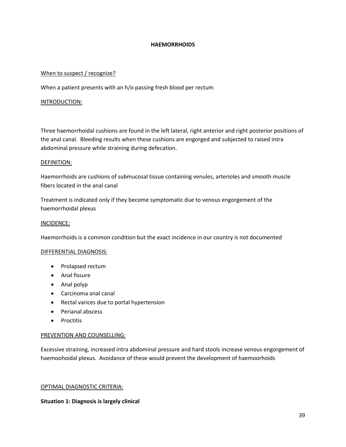### **HAEMORRHOIDS**

### When to suspect / recognize?

When a patient presents with an h/o passing fresh blood per rectum

### INTRODUCTION:

Three haemorrhoidal cushions are found in the left lateral, right anterior and right posterior positions of the anal canal. Bleeding results when these cushions are engorged and subjected to raised intra abdominal pressure while straining during defecation.

### DEFINITION:

Haemorrhoids are cushions of submucosal tissue containing venules, arterioles and smooth muscle fibers located in the anal canal

Treatment is indicated only if they become symptomatic due to venous engorgement of the haemorrhoidal plexus

### INCIDENCE:

Haemorrhoids is a common condition but the exact incidence in our country is not documented

### DIFFERENTIAL DIAGNOSIS:

- Prolapsed rectum
- Anal fissure
- Anal polyp
- Carcinoma anal canal
- Rectal varices due to portal hypertension
- Perianal abscess
- Proctitis

### PREVENTION AND COUNSELLING:

Excessive straining, increased intra abdominal pressure and hard stools increase venous engorgement of haemoohoidal plexus. Avoidance of these would prevent the development of haemoorhoids

### OPTIMAL DIAGNOSTIC CRITERIA:

## **Situation 1: Diagnosis is largely clinical**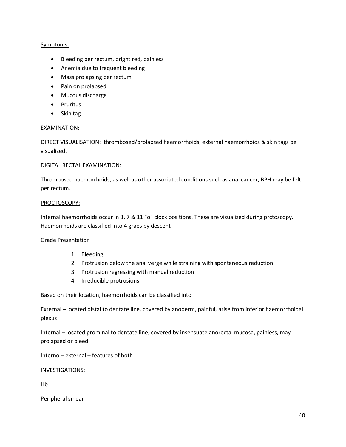## Symptoms:

- Bleeding per rectum, bright red, painless
- Anemia due to frequent bleeding
- Mass prolapsing per rectum
- Pain on prolapsed
- Mucous discharge
- Pruritus
- Skin tag

## EXAMINATION:

DIRECT VISUALISATION: thrombosed/prolapsed haemorrhoids, external haemorrhoids & skin tags be visualized.

## DIGITAL RECTAL EXAMINATION:

Thrombosed haemorrhoids, as well as other associated conditions such as anal cancer, BPH may be felt per rectum.

## PROCTOSCOPY:

Internal haemorrhoids occur in 3, 7 & 11 "o" clock positions. These are visualized during prctoscopy. Haemorrhoids are classified into 4 graes by descent

Grade Presentation

- 1. Bleeding
- 2. Protrusion below the anal verge while straining with spontaneous reduction
- 3. Protrusion regressing with manual reduction
- 4. Irreducible protrusions

Based on their location, haemorrhoids can be classified into

External – located distal to dentate line, covered by anoderm, painful, arise from inferior haemorrhoidal plexus

Internal – located prominal to dentate line, covered by insensuate anorectal mucosa, painless, may prolapsed or bleed

Interno – external – features of both

## INVESTIGATIONS:

Hb

Peripheral smear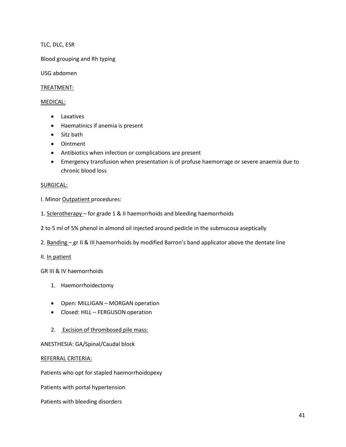TLC, DLC, ESR

Blood grouping and Rh typing

USG abdomen

## TREATMENT:

### MEDICAL:

- Laxatives
- Haematinics if anemia is present
- Sitz bath
- Ointment
- Antibiotics when infection or complications are present
- Emergency transfusion when presentation is of profuse haemorrage or severe anaemia due to chronic blood loss

### SURGICAL:

- I. Minor Outpatient procedures:
- 1. Sclerotherapy for grade 1 & II haemorrhoids and bleeding haemorrhoids
- 2 to 5 ml of 5% phenol in almond oil injected around pedicle in the submucosa aseptically
- 2. Banding gr II & III haemorrhoids by modified Barron's band applicator above the dentate line
- II. In patient

GR III & IV haemorrhoids

- 1. Haemorrhoidectomy
- Open: MILLIGAN MORGAN operation
- Closed: HILL FERGUSON operation
- 2. Excision of thrombosed pile mass:

## ANESTHESIA: GA/Spinal/Caudal block

## REFERRAL CRITERIA:

Patients who opt for stapled haemorrhoidopexy

Patients with portal hypertension

Patients with bleeding disorders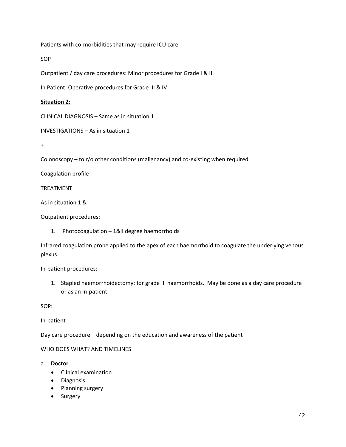Patients with co-morbidities that may require ICU care

SOP

Outpatient / day care procedures: Minor procedures for Grade I & II

In Patient: Operative procedures for Grade III & IV

## **Situation 2:**

CLINICAL DIAGNOSIS – Same as in situation 1

INVESTIGATIONS – As in situation 1

+

Colonoscopy – to r/o other conditions (malignancy) and co-existing when required

Coagulation profile

## TREATMENT

As in situation 1 &

Outpatient procedures:

1. Photocoagulation - 1&II degree haemorrhoids

Infrared coagulation probe applied to the apex of each haemorrhoid to coagulate the underlying venous plexus

In-patient procedures:

1. Stapled haemorrhoidectomy: for grade III haemorrhoids. May be done as a day care procedure or as an in-patient

SOP:

In-patient

Day care procedure – depending on the education and awareness of the patient

## WHO DOES WHAT? AND TIMELINES

a. **Doctor**

- Clinical examination
- **•** Diagnosis
- Planning surgery
- Surgery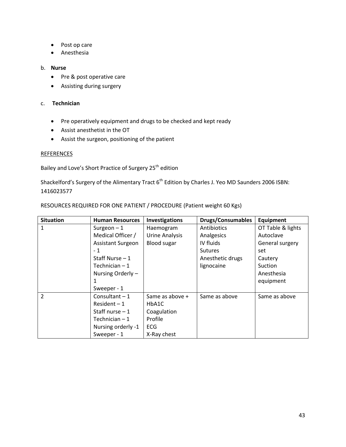- Post op care
- Anesthesia

### b. **Nurse**

- Pre & post operative care
- Assisting during surgery

## c. **Technician**

- Pre operatively equipment and drugs to be checked and kept ready
- Assist anesthetist in the OT
- Assist the surgeon, positioning of the patient

## REFERENCES

Bailey and Love's Short Practice of Surgery 25<sup>th</sup> edition

Shackelford's Surgery of the Alimentary Tract 6<sup>th</sup> Edition by Charles J. Yeo MD Saunders 2006 ISBN: 1416023577

| <b>Situation</b> | <b>Human Resources</b> | <b>Investigations</b> | <b>Drugs/Consumables</b> | Equipment         |
|------------------|------------------------|-----------------------|--------------------------|-------------------|
| 1                | Surgeon $-1$           | Haemogram             | Antibiotics              | OT Table & lights |
|                  | Medical Officer /      | Urine Analysis        | Analgesics               | Autoclave         |
|                  | Assistant Surgeon      | <b>Blood sugar</b>    | IV fluids                | General surgery   |
|                  | $-1$                   |                       | <b>Sutures</b>           | set               |
|                  | Staff Nurse $-1$       |                       | Anesthetic drugs         | Cautery           |
|                  | Technician $-1$        |                       | lignocaine               | Suction           |
|                  | Nursing Orderly -      |                       |                          | Anesthesia        |
|                  | 1                      |                       |                          | equipment         |
|                  | Sweeper - 1            |                       |                          |                   |
| $\overline{2}$   | Consultant $-1$        | Same as above +       | Same as above            | Same as above     |
|                  | $Resident-1$           | HbA1C                 |                          |                   |
|                  | Staff nurse $-1$       | Coagulation           |                          |                   |
|                  | Technician $-1$        | Profile               |                          |                   |
|                  | Nursing orderly -1     | <b>ECG</b>            |                          |                   |
|                  | Sweeper - 1            | X-Ray chest           |                          |                   |

RESOURCES REQUIRED FOR ONE PATIENT / PROCEDURE (Patient weight 60 Kgs)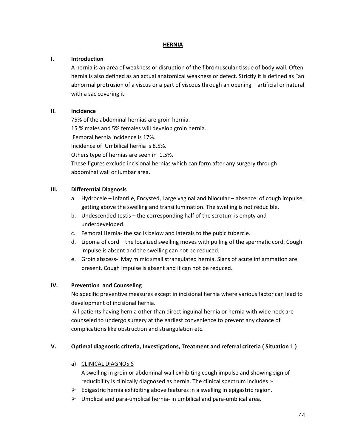## **HERNIA**

## **I. Introduction**

A hernia is an area of weakness or disruption of the fibromuscular tissue of body wall. Often hernia is also defined as an actual anatomical weakness or defect. Strictly it is defined as "an abnormal protrusion of a viscus or a part of viscous through an opening – artificial or natural with a sac covering it.

# **II. Incidence**

75% of the abdominal hernias are groin hernia. 15 % males and 5% females will develop groin hernia. Femoral hernia incidence is 17%. Incidence of Umbilical hernia is 8.5%. Others type of hernias are seen in 1.5%. These figures exclude incisional hernias which can form after any surgery through

abdominal wall or lumbar area.

## **III. Differential Diagnosis**

- a. Hydrocele Infantile, Encysted, Large vaginal and bilocular absence of cough impulse, getting above the swelling and transillumination. The swelling is not reducible.
- b. Undescended testis the corresponding half of the scrotum is empty and underdeveloped.
- c. Femoral Hernia- the sac is below and laterals to the pubic tubercle.
- d. Lipoma of cord the localized swelling moves with pulling of the spermatic cord. Cough impulse is absent and the swelling can not be reduced.
- e. Groin abscess- May mimic small strangulated hernia. Signs of acute inflammation are present. Cough impulse is absent and it can not be reduced.

# **IV. Prevention and Counseling**

No specific preventive measures except in incisional hernia where various factor can lead to development of incisional hernia.

All patients having hernia other than direct inguinal hernia or hernia with wide neck are counseled to undergo surgery at the earliest convenience to prevent any chance of complications like obstruction and strangulation etc.

# **V. Optimal diagnostic criteria, Investigations, Treatment and referral criteria ( Situation 1 )**

a) CLINICAL DIAGNOSIS

A swelling in groin or abdominal wall exhibiting cough impulse and showing sign of reducibility is clinically diagnosed as hernia. The clinical spectrum includes :-

- $\triangleright$  Epigastric hernia exhibiting above features in a swelling in epigastric region.
- $\triangleright$  Umblical and para-umblical hernia- in umbilical and para-umblical area.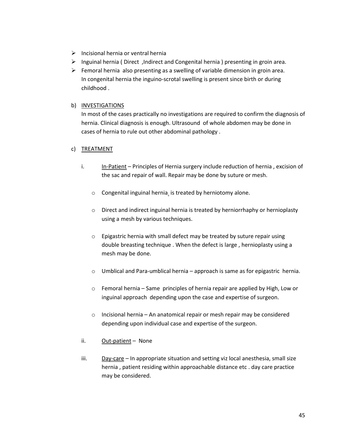- $\triangleright$  Incisional hernia or ventral hernia
- $\triangleright$  Inguinal hernia ( Direct ,Indirect and Congenital hernia ) presenting in groin area.
- $\triangleright$  Femoral hernia also presenting as a swelling of variable dimension in groin area. In congenital hernia the inguino-scrotal swelling is present since birth or during childhood .

## b) INVESTIGATIONS

In most of the cases practically no investigations are required to confirm the diagnosis of hernia. Clinical diagnosis is enough. Ultrasound of whole abdomen may be done in cases of hernia to rule out other abdominal pathology .

## c) TREATMENT

- i. In-Patient Principles of Hernia surgery include reduction of hernia, excision of the sac and repair of wall. Repair may be done by suture or mesh.
	- o Congenital inguinal hernia is treated by herniotomy alone.
	- o Direct and indirect inguinal hernia is treated by herniorrhaphy or hernioplasty using a mesh by various techniques.
	- o Epigastric hernia with small defect may be treated by suture repair using double breasting technique . When the defect is large , hernioplasty using a mesh may be done.
	- o Umblical and Para-umblical hernia approach is same as for epigastric hernia.
	- o Femoral hernia Same principles of hernia repair are applied by High, Low or inguinal approach depending upon the case and expertise of surgeon.
	- o Incisional hernia An anatomical repair or mesh repair may be considered depending upon individual case and expertise of the surgeon.
- ii. Out-patient None
- iii.  $Day\text{-care}$  In appropriate situation and setting viz local anesthesia, small size hernia , patient residing within approachable distance etc . day care practice may be considered.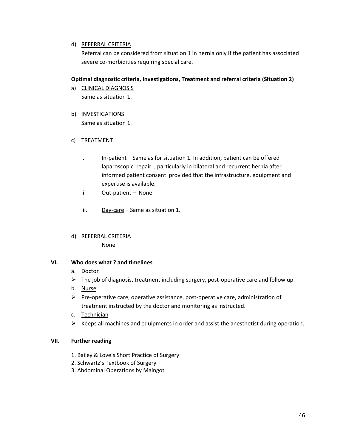## d) REFERRAL CRITERIA

Referral can be considered from situation 1 in hernia only if the patient has associated severe co-morbidities requiring special care.

## **Optimal diagnostic criteria, Investigations, Treatment and referral criteria (Situation 2)**

- a) CLINICAL DIAGNOSIS Same as situation 1.
- b) INVESTIGATIONS Same as situation 1.

## c) TREATMENT

- i.  $\ln\{-\pi\}$  in-patient Same as for situation 1. In addition, patient can be offered laparoscopic repair , particularly in bilateral and recurrent hernia after informed patient consent provided that the infrastructure, equipment and expertise is available.
- ii. Out-patient None
- iii.  $Day\text{-}\text{care} Same$  as situation 1.
- d) REFERRAL CRITERIA None

## **VI. Who does what ? and timelines**

- a. Doctor
- $\triangleright$  The job of diagnosis, treatment including surgery, post-operative care and follow up.
- b. Nurse
- $\triangleright$  Pre-operative care, operative assistance, post-operative care, administration of treatment instructed by the doctor and monitoring as instructed.
- c. Technician
- $\triangleright$  Keeps all machines and equipments in order and assist the anesthetist during operation.

## **VII. Further reading**

- 1. Bailey & Love's Short Practice of Surgery
- 2. Schwartz's Textbook of Surgery
- 3. Abdominal Operations by Maingot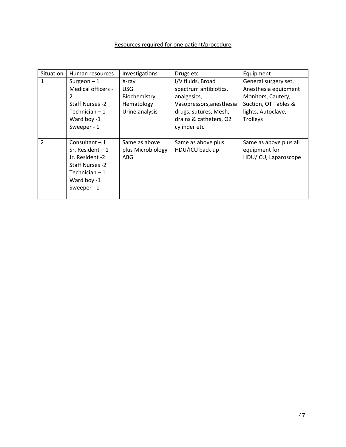# Resources required for one patient/procedure

| Situation      | Human resources                                                                                                             | Investigations                                                | Drugs etc                                                                                                                                                | Equipment                                                                                                                           |
|----------------|-----------------------------------------------------------------------------------------------------------------------------|---------------------------------------------------------------|----------------------------------------------------------------------------------------------------------------------------------------------------------|-------------------------------------------------------------------------------------------------------------------------------------|
| 1              | Surgeon $-1$<br>Medical officers -<br>2<br>Staff Nurses -2<br>Technician $-1$<br>Ward boy -1<br>Sweeper - 1                 | X-ray<br>USG.<br>Biochemistry<br>Hematology<br>Urine analysis | I/V fluids, Broad<br>spectrum antibiotics,<br>analgesics,<br>Vasopressors, anesthesia<br>drugs, sutures, Mesh,<br>drains & catheters, O2<br>cylinder etc | General surgery set,<br>Anesthesia equipment<br>Monitors, Cautery,<br>Suction, OT Tables &<br>lights, Autoclave,<br><b>Trolleys</b> |
| $\overline{2}$ | Consultant $-1$<br>Sr. Resident $-1$<br>Jr. Resident -2<br>Staff Nurses -2<br>Technician $-1$<br>Ward boy -1<br>Sweeper - 1 | Same as above<br>plus Microbiology<br>ABG                     | Same as above plus<br>HDU/ICU back up                                                                                                                    | Same as above plus all<br>equipment for<br>HDU/ICU, Laparoscope                                                                     |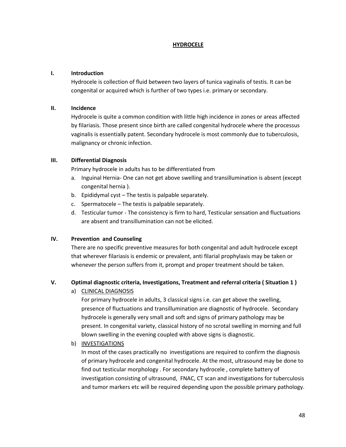## **HYDROCELE**

## **I. Introduction**

Hydrocele is collection of fluid between two layers of tunica vaginalis of testis. It can be congenital or acquired which is further of two types i.e. primary or secondary.

## **II. Incidence**

Hydrocele is quite a common condition with little high incidence in zones or areas affected by filariasis. Those present since birth are called congenital hydrocele where the processus vaginalis is essentially patent. Secondary hydrocele is most commonly due to tuberculosis, malignancy or chronic infection.

## **III. Differential Diagnosis**

Primary hydrocele in adults has to be differentiated from

- a. Inguinal Hernia- One can not get above swelling and transillumination is absent (except congenital hernia ).
- b. Epididymal cyst The testis is palpable separately.
- c. Spermatocele The testis is palpable separately.
- d. Testicular tumor The consistency is firm to hard, Testicular sensation and fluctuations are absent and transillumination can not be elicited.

# **IV. Prevention and Counseling**

There are no specific preventive measures for both congenital and adult hydrocele except that wherever filariasis is endemic or prevalent, anti filarial prophylaxis may be taken or whenever the person suffers from it, prompt and proper treatment should be taken.

# **V. Optimal diagnostic criteria, Investigations, Treatment and referral criteria ( Situation 1 )**

a) CLINICAL DIAGNOSIS

For primary hydrocele in adults, 3 classical signs i.e. can get above the swelling, presence of fluctuations and transillumination are diagnostic of hydrocele. Secondary hydrocele is generally very small and soft and signs of primary pathology may be present. In congenital variety, classical history of no scrotal swelling in morning and full blown swelling in the evening coupled with above signs is diagnostic.

# b) INVESTIGATIONS

In most of the cases practically no investigations are required to confirm the diagnosis of primary hydrocele and congenital hydrocele. At the most, ultrasound may be done to find out testicular morphology . For secondary hydrocele , complete battery of investigation consisting of ultrasound, FNAC, CT scan and investigations for tuberculosis and tumor markers etc will be required depending upon the possible primary pathology.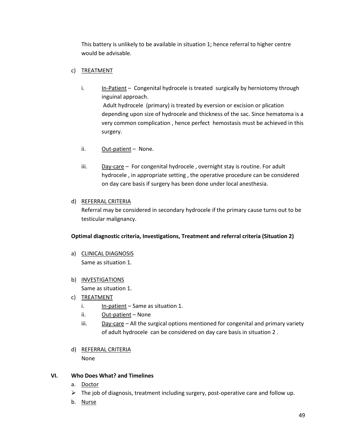This battery is unlikely to be available in situation 1; hence referral to higher centre would be advisable.

# c) TREATMENT

- i. In-Patient Congenital hydrocele is treated surgically by herniotomy through inguinal approach. Adult hydrocele (primary) is treated by eversion or excision or plication depending upon size of hydrocele and thickness of the sac. Since hematoma is a very common complication , hence perfect hemostasis must be achieved in this
- ii. Out-patient None.

surgery.

iii. Day-care - For congenital hydrocele, overnight stay is routine. For adult hydrocele , in appropriate setting , the operative procedure can be considered on day care basis if surgery has been done under local anesthesia.

## d) REFERRAL CRITERIA

Referral may be considered in secondary hydrocele if the primary cause turns out to be testicular malignancy.

# **Optimal diagnostic criteria, Investigations, Treatment and referral criteria (Situation 2)**

a) CLINICAL DIAGNOSIS Same as situation 1.

# b) INVESTIGATIONS

Same as situation 1.

- c) TREATMENT
	- i.  $In-patient Same as situation 1.$
	- ii. Out-patient None
	- iii.  $Day-care All the surgical options mentioned for congenital and primary variety$ of adult hydrocele can be considered on day care basis in situation 2 .
- d) REFERRAL CRITERIA

None

# **VI. Who Does What? and Timelines**

- a. Doctor
- $\triangleright$  The job of diagnosis, treatment including surgery, post-operative care and follow up.
- b. Nurse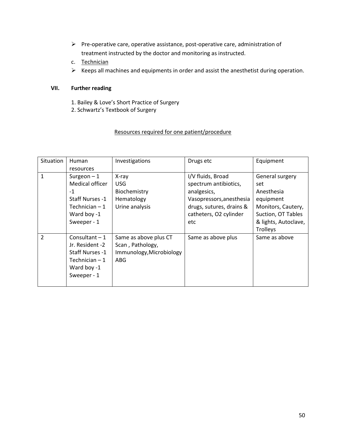- $\triangleright$  Pre-operative care, operative assistance, post-operative care, administration of treatment instructed by the doctor and monitoring as instructed.
- c. Technician
- $\triangleright$  Keeps all machines and equipments in order and assist the anesthetist during operation.

## **VII. Further reading**

- 1. Bailey & Love's Short Practice of Surgery
- 2. Schwartz's Textbook of Surgery

## Resources required for one patient/procedure

| Situation      | Human<br>resources                                                                                          | Investigations                                                                      | Drugs etc                                                                                                                                          | Equipment                                                                                                                                |
|----------------|-------------------------------------------------------------------------------------------------------------|-------------------------------------------------------------------------------------|----------------------------------------------------------------------------------------------------------------------------------------------------|------------------------------------------------------------------------------------------------------------------------------------------|
| 1              | Surgeon $-1$<br>Medical officer<br>$-1$<br>Staff Nurses -1<br>Technician $-1$<br>Ward boy -1<br>Sweeper - 1 | X-ray<br><b>USG</b><br>Biochemistry<br>Hematology<br>Urine analysis                 | I/V fluids, Broad<br>spectrum antibiotics,<br>analgesics,<br>Vasopressors, anesthesia<br>drugs, sutures, drains &<br>catheters, O2 cylinder<br>etc | General surgery<br>set<br>Anesthesia<br>equipment<br>Monitors, Cautery,<br>Suction, OT Tables<br>& lights, Autoclave,<br><b>Trolleys</b> |
| $\overline{2}$ | Consultant $-1$<br>Jr. Resident -2<br>Staff Nurses -1<br>Technician $-1$<br>Ward boy -1<br>Sweeper - 1      | Same as above plus CT<br>Scan, Pathology,<br>Immunology, Microbiology<br><b>ABG</b> | Same as above plus                                                                                                                                 | Same as above                                                                                                                            |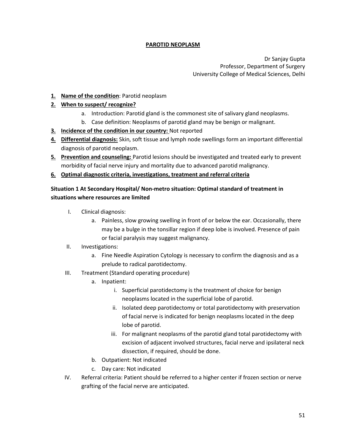# **PAROTID NEOPLASM**

Dr Sanjay Gupta Professor, Department of Surgery University College of Medical Sciences, Delhi

## **1. Name of the condition**: Parotid neoplasm

## **2. When to suspect/ recognize?**

- a. Introduction: Parotid gland is the commonest site of salivary gland neoplasms.
- b. Case definition: Neoplasms of parotid gland may be benign or malignant.
- **3. Incidence of the condition in our country:** Not reported
- **4. Differential diagnosis:** Skin, soft tissue and lymph node swellings form an important differential diagnosis of parotid neoplasm.
- **5. Prevention and counseling:** Parotid lesions should be investigated and treated early to prevent morbidity of facial nerve injury and mortality due to advanced parotid malignancy.
- **6. Optimal diagnostic criteria, investigations, treatment and referral criteria**

# **Situation 1 At Secondary Hospital/ Non-metro situation: Optimal standard of treatment in situations where resources are limited**

- I. Clinical diagnosis:
	- a. Painless, slow growing swelling in front of or below the ear. Occasionally, there may be a bulge in the tonsillar region if deep lobe is involved. Presence of pain or facial paralysis may suggest malignancy.
- II. Investigations:
	- a. Fine Needle Aspiration Cytology is necessary to confirm the diagnosis and as a prelude to radical parotidectomy.
- III. Treatment (Standard operating procedure)
	- a. Inpatient:
		- i. Superficial parotidectomy is the treatment of choice for benign neoplasms located in the superficial lobe of parotid.
		- ii. Isolated deep parotidectomy or total parotidectomy with preservation of facial nerve is indicated for benign neoplasms located in the deep lobe of parotid.
		- iii. For malignant neoplasms of the parotid gland total parotidectomy with excision of adjacent involved structures, facial nerve and ipsilateral neck dissection, if required, should be done.
	- b. Outpatient: Not indicated
	- c. Day care: Not indicated
- IV. Referral criteria: Patient should be referred to a higher center if frozen section or nerve grafting of the facial nerve are anticipated.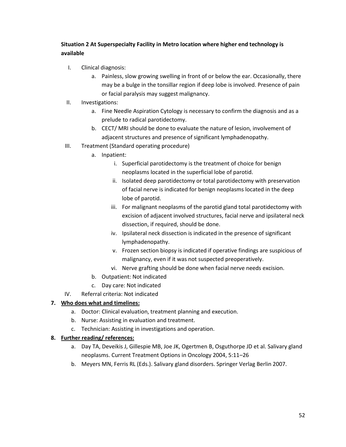# **Situation 2 At Superspecialty Facility in Metro location where higher end technology is available**

- I. Clinical diagnosis:
	- a. Painless, slow growing swelling in front of or below the ear. Occasionally, there may be a bulge in the tonsillar region if deep lobe is involved. Presence of pain or facial paralysis may suggest malignancy.
- II. Investigations:
	- a. Fine Needle Aspiration Cytology is necessary to confirm the diagnosis and as a prelude to radical parotidectomy.
	- b. CECT/ MRI should be done to evaluate the nature of lesion, involvement of adjacent structures and presence of significant lymphadenopathy.
- III. Treatment (Standard operating procedure)
	- a. Inpatient:
		- i. Superficial parotidectomy is the treatment of choice for benign neoplasms located in the superficial lobe of parotid.
		- ii. Isolated deep parotidectomy or total parotidectomy with preservation of facial nerve is indicated for benign neoplasms located in the deep lobe of parotid.
		- iii. For malignant neoplasms of the parotid gland total parotidectomy with excision of adjacent involved structures, facial nerve and ipsilateral neck dissection, if required, should be done.
		- iv. Ipsilateral neck dissection is indicated in the presence of significant lymphadenopathy.
		- v. Frozen section biopsy is indicated if operative findings are suspicious of malignancy, even if it was not suspected preoperatively.
		- vi. Nerve grafting should be done when facial nerve needs excision.
	- b. Outpatient: Not indicated
	- c. Day care: Not indicated
- IV. Referral criteria: Not indicated

# **7. Who does what and timelines:**

- a. Doctor: Clinical evaluation, treatment planning and execution.
- b. Nurse: Assisting in evaluation and treatment.
- c. Technician: Assisting in investigations and operation.

# **8. Further reading/ references:**

- a. Day TA, Deveikis J, Gillespie MB, Joe JK, Ogertmen B, Osguthorpe JD et al. Salivary gland neoplasms. Current Treatment Options in Oncology 2004, 5:11–26
- b. Meyers MN, Ferris RL (Eds.). Salivary gland disorders. Springer Verlag Berlin 2007.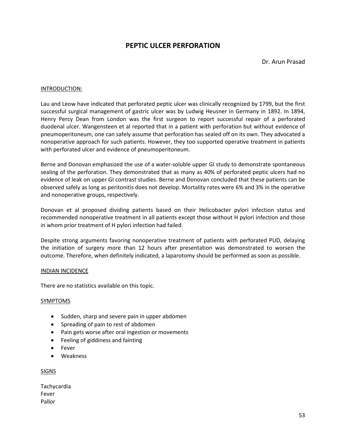# **PEPTIC ULCER PERFORATION**

Dr. Arun Prasad

### INTRODUCTION:

Lau and Leow have indicated that perforated peptic ulcer was clinically recognized by 1799, but the first successful surgical management of gastric ulcer was by Ludwig Heusner in Germany in 1892. In 1894, Henry Percy Dean from London was the first surgeon to report successful repair of a perforated duodenal ulcer. Wangensteen et al reported that in a patient with perforation but without evidence of pneumoperitoneum, one can safely assume that perforation has sealed off on its own. They advocated a nonoperative approach for such patients. However, they too supported operative treatment in patients with perforated ulcer and evidence of pneumoperitoneum.

Berne and Donovan emphasized the use of a water-soluble upper GI study to demonstrate spontaneous sealing of the perforation. They demonstrated that as many as 40% of perforated peptic ulcers had no evidence of leak on upper GI contrast studies. Berne and Donovan concluded that these patients can be observed safely as long as peritonitis does not develop. Mortality rates were 6% and 3% in the operative and nonoperative groups, respectively.

Donovan et al proposed dividing patients based on their Helicobacter pylori infection status and recommended nonoperative treatment in all patients except those without H pylori infection and those in whom prior treatment of H pylori infection had failed.

Despite strong arguments favoring nonoperative treatment of patients with perforated PUD, delaying the initiation of surgery more than 12 hours after presentation was demonstrated to worsen the outcome. Therefore, when definitely indicated, a laparotomy should be performed as soon as possible.

### INDIAN INCIDENCE

There are no statistics available on this topic.

### SYMPTOMS

- Sudden, sharp and severe pain in upper abdomen
- Spreading of pain to rest of abdomen
- Pain gets worse after oral ingestion or movements
- Feeling of giddiness and fainting
- Fever
- Weakness

### SIGNS

Tachycardia Fever Pallor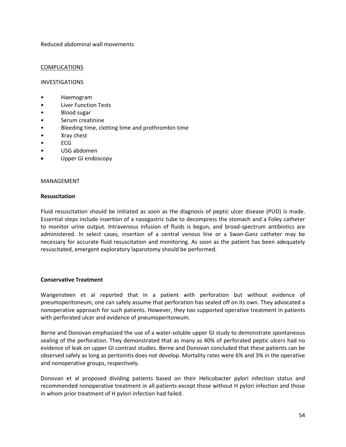Reduced abdominal wall movements

### **COMPLICATIONS**

### INVESTIGATIONS

- Haemogram
- Liver Function Tests
- Blood sugar
- Serum creatinine
- Bleeding time, clotting time and prothrombin time
- Xray chest
- ECG
- USG abdomen
- Upper GI endoscopy

### MANAGEMENT

### **Resuscitation**

Fluid resuscitation should be initiated as soon as the diagnosis of peptic ulcer disease (PUD) is made. Essential steps include insertion of a nasogastric tube to decompress the stomach and a Foley catheter to monitor urine output. Intravenous infusion of fluids is begun, and broad-spectrum antibiotics are administered. In select cases, insertion of a central venous line or a Swan-Ganz catheter may be necessary for accurate fluid resuscitation and monitoring. As soon as the patient has been adequately resuscitated, emergent exploratory laparotomy should be performed.

### **Conservative Treatment**

Wangensteen et al reported that in a patient with perforation but without evidence of pneumoperitoneum, one can safely assume that perforation has sealed off on its own. They advocated a nonoperative approach for such patients. However, they too supported operative treatment in patients with perforated ulcer and evidence of pneumoperitoneum.

Berne and Donovan emphasized the use of a water-soluble upper GI study to demonstrate spontaneous sealing of the perforation. They demonstrated that as many as 40% of perforated peptic ulcers had no evidence of leak on upper GI contrast studies. Berne and Donovan concluded that these patients can be observed safely as long as peritonitis does not develop. Mortality rates were 6% and 3% in the operative and nonoperative groups, respectively.

Donovan et al proposed dividing patients based on their Helicobacter pylori infection status and recommended nonoperative treatment in all patients except those without H pylori infection and those in whom prior treatment of H pylori infection had failed.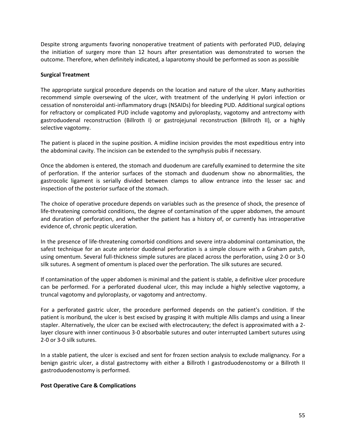Despite strong arguments favoring nonoperative treatment of patients with perforated PUD, delaying the initiation of surgery more than 12 hours after presentation was demonstrated to worsen the outcome. Therefore, when definitely indicated, a laparotomy should be performed as soon as possible

### **Surgical Treatment**

The appropriate surgical procedure depends on the location and nature of the ulcer. Many authorities recommend simple oversewing of the ulcer, with treatment of the underlying H pylori infection or cessation of nonsteroidal anti-inflammatory drugs (NSAIDs) for bleeding PUD. Additional surgical options for refractory or complicated PUD include vagotomy and pyloroplasty, vagotomy and antrectomy with gastroduodenal reconstruction (Billroth I) or gastrojejunal reconstruction (Billroth II), or a highly selective vagotomy.

The patient is placed in the supine position. A midline incision provides the most expeditious entry into the abdominal cavity. The incision can be extended to the symphysis pubis if necessary.

Once the abdomen is entered, the stomach and duodenum are carefully examined to determine the site of perforation. If the anterior surfaces of the stomach and duodenum show no abnormalities, the gastrocolic ligament is serially divided between clamps to allow entrance into the lesser sac and inspection of the posterior surface of the stomach.

The choice of operative procedure depends on variables such as the presence of shock, the presence of life-threatening comorbid conditions, the degree of contamination of the upper abdomen, the amount and duration of perforation, and whether the patient has a history of, or currently has intraoperative evidence of, chronic peptic ulceration.

In the presence of life-threatening comorbid conditions and severe intra-abdominal contamination, the safest technique for an acute anterior duodenal perforation is a simple closure with a Graham patch, using omentum. Several full-thickness simple sutures are placed across the perforation, using 2-0 or 3-0 silk sutures. A segment of omentum is placed over the perforation. The silk sutures are secured.

If contamination of the upper abdomen is minimal and the patient is stable, a definitive ulcer procedure can be performed. For a perforated duodenal ulcer, this may include a highly selective vagotomy, a truncal vagotomy and pyloroplasty, or vagotomy and antrectomy.

For a perforated gastric ulcer, the procedure performed depends on the patient's condition. If the patient is moribund, the ulcer is best excised by grasping it with multiple Allis clamps and using a linear stapler. Alternatively, the ulcer can be excised with electrocautery; the defect is approximated with a 2 layer closure with inner continuous 3-0 absorbable sutures and outer interrupted Lambert sutures using 2-0 or 3-0 silk sutures.

In a stable patient, the ulcer is excised and sent for frozen section analysis to exclude malignancy. For a benign gastric ulcer, a distal gastrectomy with either a Billroth I gastroduodenostomy or a Billroth II gastroduodenostomy is performed.

### **Post Operative Care & Complications**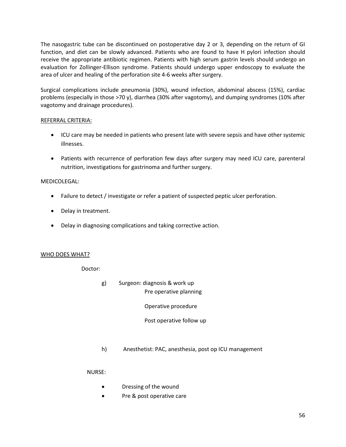The nasogastric tube can be discontinued on postoperative day 2 or 3, depending on the return of GI function, and diet can be slowly advanced. Patients who are found to have H pylori infection should receive the appropriate antibiotic regimen. Patients with high serum gastrin levels should undergo an evaluation for Zollinger-Ellison syndrome. Patients should undergo upper endoscopy to evaluate the area of ulcer and healing of the perforation site 4-6 weeks after surgery.

Surgical complications include pneumonia (30%), wound infection, abdominal abscess (15%), cardiac problems (especially in those >70 y), diarrhea (30% after vagotomy), and dumping syndromes (10% after vagotomy and drainage procedures).

## REFERRAL CRITERIA:

- ICU care may be needed in patients who present late with severe sepsis and have other systemic illnesses.
- Patients with recurrence of perforation few days after surgery may need ICU care, parenteral nutrition, investigations for gastrinoma and further surgery.

## MEDICOLEGAL:

- Failure to detect / investigate or refer a patient of suspected peptic ulcer perforation.
- Delay in treatment.
- Delay in diagnosing complications and taking corrective action.

## WHO DOES WHAT?

Doctor:

g) Surgeon: diagnosis & work up Pre operative planning

Operative procedure

## Post operative follow up

h) Anesthetist: PAC, anesthesia, post op ICU management

## NURSE:

- Dressing of the wound
- Pre & post operative care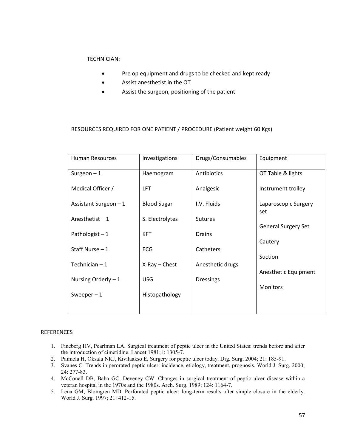## TECHNICIAN:

- Pre op equipment and drugs to be checked and kept ready
- Assist anesthetist in the OT
- Assist the surgeon, positioning of the patient

### RESOURCES REQUIRED FOR ONE PATIENT / PROCEDURE (Patient weight 60 Kgs)

| <b>Human Resources</b> | Investigations     | Drugs/Consumables | Equipment                   |
|------------------------|--------------------|-------------------|-----------------------------|
| Surgeon $-1$           | Haemogram          | Antibiotics       | OT Table & lights           |
| Medical Officer /      | <b>LFT</b>         | Analgesic         | Instrument trolley          |
| Assistant Surgeon $-1$ | <b>Blood Sugar</b> | I.V. Fluids       | Laparoscopic Surgery<br>set |
| Anesthetist $-1$       | S. Electrolytes    | <b>Sutures</b>    | <b>General Surgery Set</b>  |
| Pathologist $-1$       | <b>KFT</b>         | <b>Drains</b>     | Cautery                     |
| Staff Nurse $-1$       | <b>ECG</b>         | Catheters         | Suction                     |
| Technician $-1$        | $X-Ray$ - Chest    | Anesthetic drugs  |                             |
| Nursing Orderly $-1$   | <b>USG</b>         | <b>Dressings</b>  | Anesthetic Equipment        |
| Sweeper $-1$           | Histopathology     |                   | <b>Monitors</b>             |
|                        |                    |                   |                             |

### REFERENCES

- 1. Fineberg HV, Pearlman LA. Surgical treatment of peptic ulcer in the United States: trends before and after the introduction of cimetidine. Lancet 1981; i: 1305-7.
- 2. Paimela H, Oksala NKJ, Kivilaakso E. Surgery for peptic ulcer today. Dig. Surg. 2004; 21: 185-91.
- 3. Svanes C. Trends in perorated peptic ulcer: incidence, etiology, treatment, prognosis. World J. Surg. 2000; 24: 277-83.
- 4. McConell DB, Baba GC, Deveney CW. Changes in surgical treatment of peptic ulcer disease within a veteran hospital in the 1970s and the 1980s. Arch. Surg. 1989; 124: 1164-7.
- 5. Lena GM, Blomgren MD. Perforated peptic ulcer: long-term results after simple closure in the elderly. World J. Surg. 1997; 21: 412-15.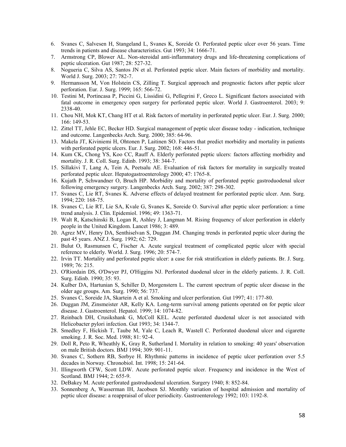- 6. Svanes C, Salvesen H, Stangeland L, Svanes K, Soreide O. Perforated peptic ulcer over 56 years. Time trends in patients and disease characteristics. Gut 1993; 34: 1666-71.
- 7. Armstrong CP, Blower AL. Non-steroidal anti-inflammatory drugs and life-threatening complications of peptic ulceration. Gut 1987; 28: 527-32.
- 8. Nogueria C, Silva AS, Santos JN et al. Perforated peptic ulcer. Main factors of morbidity and mortality. World J. Surg. 2003; 27: 782-7.
- 9. Hermansson M, Von Holstein CS, Zilling T. Surgical approach and prognostic factors after peptic ulcer perforation. Eur. J. Surg. 1999; 165: 566-72.
- 10. Testini M, Portincasa P, Piccini G, Lissidini G, Pellegrini F, Greco L. Significant factors associated with fatal outcome in emergency open surgery for perforated peptic ulcer. World J. Gastroenterol. 2003; 9: 2338-40.
- 11. Chou NH, Mok KT, Chang HT et al. Risk factors of mortality in perforated peptic ulcer. Eur. J. Surg. 2000; 166: 149-53.
- 12. Zittel TT, Jehle EC, Becker HD. Surgical management of peptic ulcer disease today indication, technique and outcome. Langenbecks Arch. Surg. 2000; 385: 64-96.
- 13. Makela JT, Kiviniemi H, Ohtonen P, Laitinen SO. Factors that predict morbidity and mortality in patients with perforated peptic ulcers. Eur. J. Surg. 2002; 168: 446-51.
- 14. Kum CK, Chong YS, Koo CC, Rauff A. Elderly perforated peptic ulcers: factors affecting morbidity and mortality. J. R. Coll. Surg. Edinb. 1993; 38: 344-7.
- 15. Sillakivi T, Lang A, Tein A, Peetsalu AE. Evaluation of risk factors for mortality in surgically treated perforated peptic ulcer. Hepatogastroenterology 2000; 47: 1765-8.
- 16. Kujath P, Schwandner O, Bruch HP. Morbidity and mortality of perforated peptic gastroduodenal ulcer following emergency surgery. Langenbecks Arch. Surg. 2002; 387: 298-302.
- 17. Svanes C, Lie RT, Svanes K. Adverse effects of delayed treatment for perforated peptic ulcer. Ann. Surg. 1994; 220: 168-75.
- 18. Svanes C, Lie RT, Lie SA, Kvale G, Svanes K, Soreide O. Survival after peptic ulcer perforation: a time trend analysis. J. Clin. Epidemiol. 1996; 49: 1363-71.
- 19. Walt R, Katschinski B, Logan R, Ashley J, Langman M. Rising frequency of ulcer perforation in elderly people in the United Kingdom. Lancet 1986; 3: 489.
- 20. Agrez MV, Henry DA, Senthiselvan S, Duggan JM. Changing trends in perforated peptic ulcer during the past 45 years. ANZ J. Surg. 1992; 62: 729.
- 21. Bulut O, Rasmunsen C, Fischer A. Acute surgical treatment of complicated peptic ulcer with special reference to elderly. World. J. Surg. 1996; 20: 574-7.
- 22. Irvin TT. Mortality and perforated peptic ulcer: a case for risk stratification in elderly patients. Br. J. Surg. 1989; 76: 215.
- 23. O'Riordain DS, O'Dwyer PJ, O'Higgins NJ. Perforated duodenal ulcer in the elderly patients. J. R. Coll. Surg. Edinb. 1990; 35: 93.
- 24. Kulber DA, Hartunian S, Schiller D, Morgenstern L. The current spectrum of peptic ulcer disease in the older age groups. Am. Surg. 1990; 56: 737.
- 25. Svanes C, Soreide JA, Skartein A et al. Smoking and ulcer perforation. Gut 1997; 41: 177-80.
- 26. Duggan JM, Zinsmeister AR, Kelly KA. Long-term survival among patients operated on for peptic ulcer disease. J. Gastroenterol. Hepatol. 1999; 14: 1074-82.
- 27. Reinbach DH, Crusikshank G, McColl KEL. Acute perforated duodenal ulcer is not associated with Helicobacter pylori infection. Gut 1993; 34: 1344-7.
- 28. Smedley F, Hickish T, Taube M, Yale C, Leach R, Wastell C. Perforated duodenal ulcer and cigarette smoking. J. R. Soc. Med. 1988; 81: 92-4.
- 29. Doll R, Peto R, Wheathly K, Gray R, Sutherland I. Mortality in relation to smoking: 40 years' observation on male British doctors. BMJ 1994; 309: 901-11.
- 30. Svanes C, Sothern RB, Sorbye H. Rhythmic patterns in incidence of peptic ulcer perforation over 5.5 decades in Norway. Chronobiol. Int. 1998; 15: 241-64.
- 31. Illingworth CFW, Scott LDW. Acute perforated peptic ulcer. Frequency and incidence in the West of Scotland. BMJ 1944; 2: 655-9.
- 32. DeBakey M. Acute perforated gastroduodenal ulceration. Surgery 1940; 8: 852-84.
- 33. Sonnenberg A, Wasserman IH, Jacobsen SJ. Monthly variation of hospital admission and mortality of peptic ulcer disease: a reappraisal of ulcer periodicity. Gastroenterology 1992; 103: 1192-8.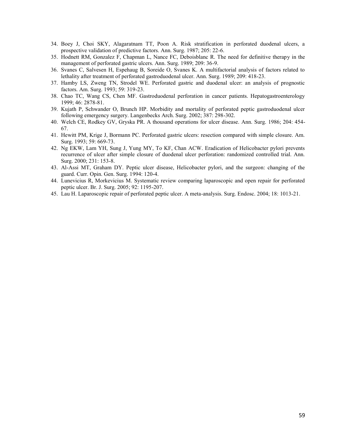- 34. Boey J, Choi SKY, Alagaratnam TT, Poon A. Risk stratification in perforated duodenal ulcers, a prospective validation of predictive factors. Ann. Surg. 1987; 205: 22-6.
- 35. Hodnett RM, Gonzalez F, Chapman L, Nance FC, Deboisblanc R. The need for definitive therapy in the management of perforated gastric ulcers. Ann. Surg. 1989; 209: 36-9.
- 36. Svanes C, Salvesen H, Espehaug B, Soreide O, Svanes K. A multifactorial analysis of factors related to lethality after treatment of perforated gastroduodenal ulcer. Ann. Surg. 1989; 209: 418-23.
- 37. Hamby LS, Zweng TN, Strodel WE. Perforated gastric and duodenal ulcer: an analysis of prognostic factors. Am. Surg. 1993; 59: 319-23.
- 38. Chao TC, Wang CS, Chen MF. Gastroduodenal perforation in cancer patients. Hepatogastroenterology 1999; 46: 2878-81.
- 39. Kujath P, Schwander O, Brunch HP. Morbidity and mortality of perforated peptic gastroduodenal ulcer following emergency surgery. Langenbecks Arch. Surg. 2002; 387: 298-302.
- 40. Welch CE, Rodkey GV, Gryska PR. A thousand operations for ulcer disease. Ann. Surg. 1986; 204: 454- 67.
- 41. Hewitt PM, Krige J, Bormann PC. Perforated gastric ulcers: resection compared with simple closure. Am. Surg. 1993; 59: 669-73.
- 42. Ng EKW, Lam YH, Sung J, Yung MY, To KF, Chan ACW. Eradication of Helicobacter pylori prevents recurrence of ulcer after simple closure of duodenal ulcer perforation: randomized controlled trial. Ann. Surg. 2000; 231: 153-8.
- 43. Al-Assi MT, Graham DY. Peptic ulcer disease, Helicobacter pylori, and the surgeon: changing of the guard. Curr. Opin. Gen. Surg. 1994: 120-4.
- 44. Lunevicius R, Morkevicius M. Systematic review comparing laparoscopic and open repair for perforated peptic ulcer. Br. J. Surg. 2005; 92: 1195-207.
- 45. Lau H. Laparoscopic repair of perforated peptic ulcer. A meta-analysis. Surg. Endosc. 2004; 18: 1013-21.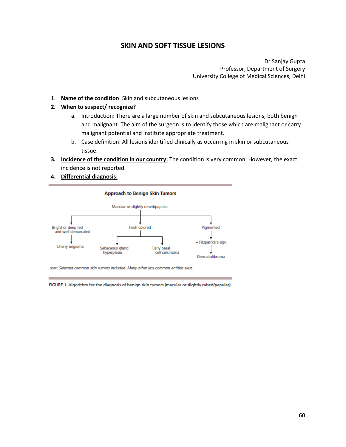# **SKIN AND SOFT TISSUE LESIONS**

Dr Sanjay Gupta Professor, Department of Surgery University College of Medical Sciences, Delhi

1. **Name of the condition**: Skin and subcutaneous lesions

### **2. When to suspect/ recognize?**

- a. Introduction: There are a large number of skin and subcutaneous lesions, both benign and malignant. The aim of the surgeon is to identify those which are malignant or carry malignant potential and institute appropriate treatment.
- b. Case definition: All lesions identified clinically as occurring in skin or subcutaneous tissue.
- **3. Incidence of the condition in our country:** The condition is very common. However, the exact incidence is not reported.
- **4. Differential diagnosis:**



NOTE: Selected common skin tumors included. Many other less common entities exist.

FIGURE 1. Algorithm for the diagnosis of benign skin tumors (macular or slightly raised/papular).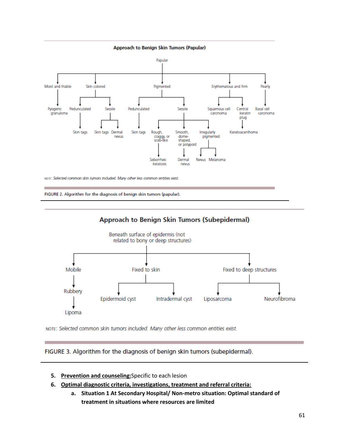

NOTE: Selected common skin tumors included. Many other less common entities exist.

FIGURE 2. Algorithm for the diagnosis of benign skin tumors (papular).





NOTE: Selected common skin tumors included. Many other less common entities exist.

FIGURE 3. Algorithm for the diagnosis of benign skin tumors (subepidermal).

- **5. Prevention and counseling:**Specific to each lesion
- **6. Optimal diagnostic criteria, investigations, treatment and referral criteria:**
	- **a. Situation 1 At Secondary Hospital/ Non-metro situation: Optimal standard of treatment in situations where resources are limited**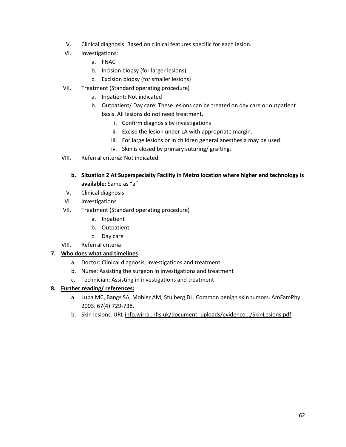- V. Clinical diagnosis: Based on clinical features specific for each lesion.
- VI. Investigations:
	- a. FNAC
	- b. Incision biopsy (for larger lesions)
	- c. Excision biopsy (for smaller lesions)
- VII. Treatment (Standard operating procedure)
	- a. Inpatient: Not indicated
	- b. Outpatient/ Day care: These lesions can be treated on day care or outpatient basis. All lesions do not need treatment.
		- i. Confirm diagnosis by investigations
		- ii. Excise the lesion under LA with appropriate margin.
		- iii. For large lesions or in children general anesthesia may be used.
		- iv. Skin is closed by primary suturing/ grafting.
- VIII. Referral criteria: Not indicated.
	- **b. Situation 2 At Superspecialty Facility in Metro location where higher end technology is available:** Same as "a"
	- V. Clinical diagnosis
- VI. Investigations
- VII. Treatment (Standard operating procedure)
	- a. Inpatient
	- b. Outpatient
	- c. Day care
- VIII. Referral criteria

## **7. Who does what and timelines**

- a. Doctor: Clinical diagnosis, investigations and treatment
- b. Nurse: Assisting the surgeon in investigations and treatment
- c. Technician: Assisting in investigations and treatment

# **8. Further reading/ references:**

- a. Luba MC, Bangs SA, Mohler AM, Stulberg DL. Common benign skin tumors. AmFamPhy 2003. 67(4):729-738.
- b. Skin lesions. URL info.wirral.nhs.uk/document\_uploads/evidence.../SkinLesions.pdf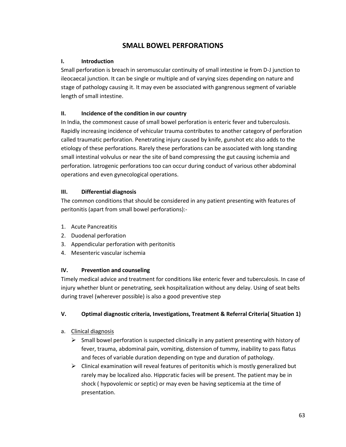# **SMALL BOWEL PERFORATIONS**

# **I. Introduction**

Small perforation is breach in seromuscular continuity of small intestine ie from D-J junction to ileocaecal junction. It can be single or multiple and of varying sizes depending on nature and stage of pathology causing it. It may even be associated with gangrenous segment of variable length of small intestine.

## **II. Incidence of the condition in our country**

In India, the commonest cause of small bowel perforation is enteric fever and tuberculosis. Rapidly increasing incidence of vehicular trauma contributes to another category of perforation called traumatic perforation. Penetrating injury caused by knife, gunshot etc also adds to the etiology of these perforations. Rarely these perforations can be associated with long standing small intestinal volvulus or near the site of band compressing the gut causing ischemia and perforation. Iatrogenic perforations too can occur during conduct of various other abdominal operations and even gynecological operations.

## **III. Differential diagnosis**

The common conditions that should be considered in any patient presenting with features of peritonitis (apart from small bowel perforations):-

- 1. Acute Pancreatitis
- 2. Duodenal perforation
- 3. Appendicular perforation with peritonitis
- 4. Mesenteric vascular ischemia

# **IV. Prevention and counseling**

Timely medical advice and treatment for conditions like enteric fever and tuberculosis. In case of injury whether blunt or penetrating, seek hospitalization without any delay. Using of seat belts during travel (wherever possible) is also a good preventive step

# **V. Optimal diagnostic criteria, Investigations, Treatment & Referral Criteria( Situation 1)**

- a. Clinical diagnosis
	- $\triangleright$  Small bowel perforation is suspected clinically in any patient presenting with history of fever, trauma, abdominal pain, vomiting, distension of tummy, inability to pass flatus and feces of variable duration depending on type and duration of pathology.
	- $\triangleright$  Clinical examination will reveal features of peritonitis which is mostly generalized but rarely may be localized also. Hippcratic facies will be present. The patient may be in shock ( hypovolemic or septic) or may even be having septicemia at the time of presentation.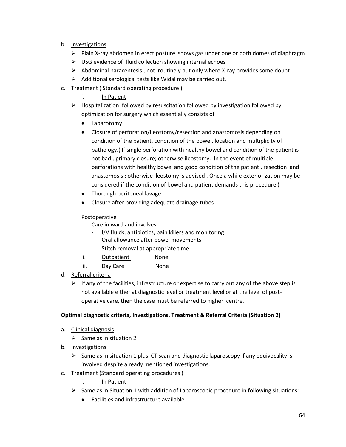- b. Investigations
	- $\triangleright$  Plain X-ray abdomen in erect posture shows gas under one or both domes of diaphragm
	- $\triangleright$  USG evidence of fluid collection showing internal echoes
	- $\triangleright$  Abdominal paracentesis, not routinely but only where X-ray provides some doubt
	- $\triangleright$  Additional serological tests like Widal may be carried out.
- c. Treatment ( Standard operating procedure )
	- i. In Patient
	- $\triangleright$  Hospitalization followed by resuscitation followed by investigation followed by optimization for surgery which essentially consists of
		- Laparotomy
		- Closure of perforation/Ileostomy/resection and anastomosis depending on condition of the patient, condition of the bowel, location and multiplicity of pathology.( If single perforation with healthy bowel and condition of the patient is not bad , primary closure; otherwise ileostomy. In the event of multiple perforations with healthy bowel and good condition of the patient , resection and anastomosis ; otherwise ileostomy is advised . Once a while exteriorization may be considered if the condition of bowel and patient demands this procedure )
		- Thorough peritoneal lavage
		- Closure after providing adequate drainage tubes

# Postoperative

- Care in ward and involves
- I/V fluids, antibiotics, pain killers and monitoring
- Oral allowance after bowel movements
- Stitch removal at appropriate time
- ii. Outpatient None
- iii. Day Care None
- d. Referral criteria
	- $\triangleright$  If any of the facilities, infrastructure or expertise to carry out any of the above step is not available either at diagnostic level or treatment level or at the level of postoperative care, then the case must be referred to higher centre.

# **Optimal diagnostic criteria, Investigations, Treatment & Referral Criteria (Situation 2)**

- a. Clinical diagnosis
	- $\triangleright$  Same as in situation 2
- b. Investigations
	- $\triangleright$  Same as in situation 1 plus CT scan and diagnostic laparoscopy if any equivocality is involved despite already mentioned investigations.
- c. Treatment (Standard operating procedures )
	- i. **In Patient**
	- $\triangleright$  Same as in Situation 1 with addition of Laparoscopic procedure in following situations:
		- Facilities and infrastructure available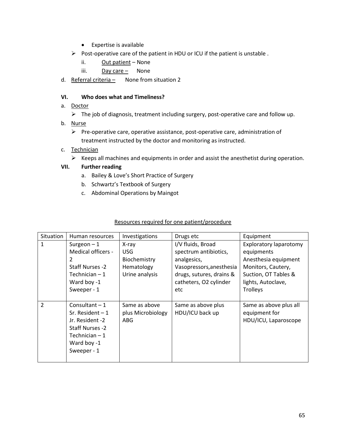- Expertise is available
- $\triangleright$  Post-operative care of the patient in HDU or ICU if the patient is unstable .
	- ii. Out patient None
	- iii.  $Day care -$  None
- d. Referral criteria None from situation 2

## **VI. Who does what and Timeliness?**

- a. Doctor
	- $\triangleright$  The job of diagnosis, treatment including surgery, post-operative care and follow up.
- b. Nurse
	- $\triangleright$  Pre-operative care, operative assistance, post-operative care, administration of treatment instructed by the doctor and monitoring as instructed.
- c. Technician
	- $\triangleright$  Keeps all machines and equipments in order and assist the anesthetist during operation.

## **VII. Further reading**

- a. Bailey & Love's Short Practice of Surgery
- b. Schwartz's Textbook of Surgery
- c. Abdominal Operations by Maingot

| <b>Situation</b> | Human resources                                                                                                                    | Investigations                                   | Drugs etc                             | Equipment                                                       |
|------------------|------------------------------------------------------------------------------------------------------------------------------------|--------------------------------------------------|---------------------------------------|-----------------------------------------------------------------|
| $\mathbf{1}$     | Surgeon $-1$                                                                                                                       | X-ray                                            | I/V fluids, Broad                     | Exploratory laparotomy                                          |
|                  | Medical officers -                                                                                                                 | <b>USG</b>                                       | spectrum antibiotics,                 | equipments                                                      |
|                  | 2                                                                                                                                  | Biochemistry                                     | analgesics,                           | Anesthesia equipment                                            |
|                  | Staff Nurses -2                                                                                                                    | Hematology                                       | Vasopressors, anesthesia              | Monitors, Cautery,                                              |
|                  | Technician $-1$                                                                                                                    | Urine analysis                                   | drugs, sutures, drains &              | Suction, OT Tables &                                            |
|                  | Ward boy -1                                                                                                                        |                                                  | catheters, O2 cylinder                | lights, Autoclave,                                              |
|                  | Sweeper - 1                                                                                                                        |                                                  | etc                                   | <b>Trolleys</b>                                                 |
|                  |                                                                                                                                    |                                                  |                                       |                                                                 |
| $\overline{2}$   | Consultant $-1$<br>Sr. Resident $-1$<br>Jr. Resident -2<br><b>Staff Nurses -2</b><br>Technician $-1$<br>Ward boy -1<br>Sweeper - 1 | Same as above<br>plus Microbiology<br><b>ABG</b> | Same as above plus<br>HDU/ICU back up | Same as above plus all<br>equipment for<br>HDU/ICU, Laparoscope |
|                  |                                                                                                                                    |                                                  |                                       |                                                                 |

## Resources required for one patient/procedure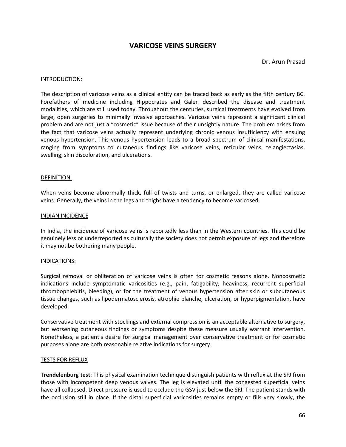# **VARICOSE VEINS SURGERY**

Dr. Arun Prasad

#### INTRODUCTION:

The description of varicose veins as a clinical entity can be traced back as early as the fifth century BC. Forefathers of medicine including Hippocrates and Galen described the disease and treatment modalities, which are still used today. Throughout the centuries, surgical treatments have evolved from large, open surgeries to minimally invasive approaches. Varicose veins represent a significant clinical problem and are not just a "cosmetic" issue because of their unsightly nature. The problem arises from the fact that varicose veins actually represent underlying chronic venous insufficiency with ensuing venous hypertension. This venous hypertension leads to a broad spectrum of clinical manifestations, ranging from symptoms to cutaneous findings like varicose veins, reticular veins, telangiectasias, swelling, skin discoloration, and ulcerations.

#### DEFINITION:

When veins become abnormally thick, full of twists and turns, or enlarged, they are called varicose veins. Generally, the veins in the legs and thighs have a tendency to become varicosed.

#### INDIAN INCIDENCE

In India, the incidence of varicose veins is reportedly less than in the Western countries. This could be genuinely less or underreported as culturally the society does not permit exposure of legs and therefore it may not be bothering many people.

### INDICATIONS:

Surgical removal or obliteration of varicose veins is often for cosmetic reasons alone. Noncosmetic indications include symptomatic varicosities (e.g., pain, fatigability, heaviness, recurrent superficial thrombophlebitis, bleeding), or for the treatment of venous hypertension after skin or subcutaneous tissue changes, such as lipodermatosclerosis, atrophie blanche, ulceration, or hyperpigmentation, have developed.

Conservative treatment with stockings and external compression is an acceptable alternative to surgery, but worsening cutaneous findings or symptoms despite these measure usually warrant intervention. Nonetheless, a patient's desire for surgical management over conservative treatment or for cosmetic purposes alone are both reasonable relative indications for surgery.

### TESTS FOR REFLUX

**Trendelenburg test**: This physical examination technique distinguish patients with reflux at the SFJ from those with incompetent deep venous valves. The leg is elevated until the congested superficial veins have all collapsed. Direct pressure is used to occlude the GSV just below the SFJ. The patient stands with the occlusion still in place. If the distal superficial varicosities remains empty or fills very slowly, the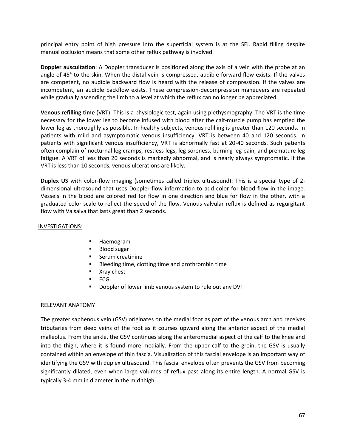principal entry point of high pressure into the superficial system is at the SFJ. Rapid filling despite manual occlusion means that some other reflux pathway is involved.

**Doppler auscultation**: A Doppler transducer is positioned along the axis of a vein with the probe at an angle of 45° to the skin. When the distal vein is compressed, audible forward flow exists. If the valves are competent, no audible backward flow is heard with the release of compression. If the valves are incompetent, an audible backflow exists. These compression-decompression maneuvers are repeated while gradually ascending the limb to a level at which the reflux can no longer be appreciated.

**Venous refilling time** (VRT): This is a physiologic test, again using plethysmography. The VRT is the time necessary for the lower leg to become infused with blood after the calf-muscle pump has emptied the lower leg as thoroughly as possible. In healthy subjects, venous refilling is greater than 120 seconds. In patients with mild and asymptomatic venous insufficiency, VRT is between 40 and 120 seconds. In patients with significant venous insufficiency, VRT is abnormally fast at 20-40 seconds. Such patients often complain of nocturnal leg cramps, restless legs, leg soreness, burning leg pain, and premature leg fatigue. A VRT of less than 20 seconds is markedly abnormal, and is nearly always symptomatic. If the VRT is less than 10 seconds, venous ulcerations are likely.

**Duplex US** with color-flow imaging (sometimes called triplex ultrasound): This is a special type of 2 dimensional ultrasound that uses Doppler-flow information to add color for blood flow in the image. Vessels in the blood are colored red for flow in one direction and blue for flow in the other, with a graduated color scale to reflect the speed of the flow. Venous valvular reflux is defined as regurgitant flow with Valsalva that lasts great than 2 seconds.

## INVESTIGATIONS:

- **Haemogram**
- **Blood sugar**
- **Serum creatinine**
- **Bleeding time, clotting time and prothrombin time**
- **No. 2** Xray chest
- $ECG$
- **Doppler of lower limb venous system to rule out any DVT**

## RELEVANT ANATOMY

The greater saphenous vein (GSV) originates on the medial foot as part of the venous arch and receives tributaries from deep veins of the foot as it courses upward along the anterior aspect of the medial malleolus. From the ankle, the GSV continues along the anteromedial aspect of the calf to the knee and into the thigh, where it is found more medially. From the upper calf to the groin, the GSV is usually contained within an envelope of thin fascia. Visualization of this fascial envelope is an important way of identifying the GSV with duplex ultrasound. This fascial envelope often prevents the GSV from becoming significantly dilated, even when large volumes of reflux pass along its entire length. A normal GSV is typically 3-4 mm in diameter in the mid thigh.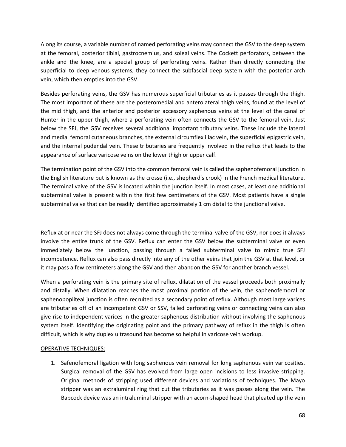Along its course, a variable number of named perforating veins may connect the GSV to the deep system at the femoral, posterior tibial, gastrocnemius, and soleal veins. The Cockett perforators, between the ankle and the knee, are a special group of perforating veins. Rather than directly connecting the superficial to deep venous systems, they connect the subfascial deep system with the posterior arch vein, which then empties into the GSV.

Besides perforating veins, the GSV has numerous superficial tributaries as it passes through the thigh. The most important of these are the posteromedial and anterolateral thigh veins, found at the level of the mid thigh, and the anterior and posterior accessory saphenous veins at the level of the canal of Hunter in the upper thigh, where a perforating vein often connects the GSV to the femoral vein. Just below the SFJ, the GSV receives several additional important tributary veins. These include the lateral and medial femoral cutaneous branches, the external circumflex iliac vein, the superficial epigastric vein, and the internal pudendal vein. These tributaries are frequently involved in the reflux that leads to the appearance of surface varicose veins on the lower thigh or upper calf.

The termination point of the GSV into the common femoral vein is called the saphenofemoral junction in the English literature but is known as the crosse (i.e., shepherd's crook) in the French medical literature. The terminal valve of the GSV is located within the junction itself. In most cases, at least one additional subterminal valve is present within the first few centimeters of the GSV. Most patients have a single subterminal valve that can be readily identified approximately 1 cm distal to the junctional valve.

Reflux at or near the SFJ does not always come through the terminal valve of the GSV, nor does it always involve the entire trunk of the GSV. Reflux can enter the GSV below the subterminal valve or even immediately below the junction, passing through a failed subterminal valve to mimic true SFJ incompetence. Reflux can also pass directly into any of the other veins that join the GSV at that level, or it may pass a few centimeters along the GSV and then abandon the GSV for another branch vessel.

When a perforating vein is the primary site of reflux, dilatation of the vessel proceeds both proximally and distally. When dilatation reaches the most proximal portion of the vein, the saphenofemoral or saphenopopliteal junction is often recruited as a secondary point of reflux. Although most large varices are tributaries off of an incompetent GSV or SSV, failed perforating veins or connecting veins can also give rise to independent varices in the greater saphenous distribution without involving the saphenous system itself. Identifying the originating point and the primary pathway of reflux in the thigh is often difficult, which is why duplex ultrasound has become so helpful in varicose vein workup.

## OPERATIVE TECHNIQUES:

1. Safenofemoral ligation with long saphenous vein removal for long saphenous vein varicosities. Surgical removal of the GSV has evolved from large open incisions to less invasive stripping. Original methods of stripping used different devices and variations of techniques. The Mayo stripper was an extraluminal ring that cut the tributaries as it was passes along the vein. The Babcock device was an intraluminal stripper with an acorn-shaped head that pleated up the vein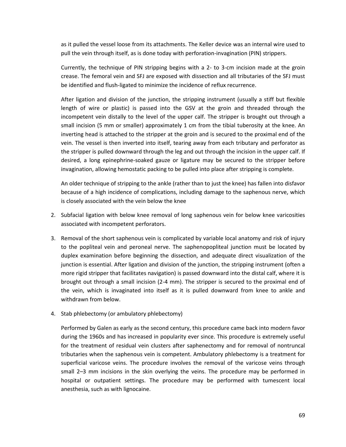as it pulled the vessel loose from its attachments. The Keller device was an internal wire used to pull the vein through itself, as is done today with perforation-invagination (PIN) strippers.

Currently, the technique of PIN stripping begins with a 2- to 3-cm incision made at the groin crease. The femoral vein and SFJ are exposed with dissection and all tributaries of the SFJ must be identified and flush-ligated to minimize the incidence of reflux recurrence.

After ligation and division of the junction, the stripping instrument (usually a stiff but flexible length of wire or plastic) is passed into the GSV at the groin and threaded through the incompetent vein distally to the level of the upper calf. The stripper is brought out through a small incision (5 mm or smaller) approximately 1 cm from the tibial tuberosity at the knee. An inverting head is attached to the stripper at the groin and is secured to the proximal end of the vein. The vessel is then inverted into itself, tearing away from each tributary and perforator as the stripper is pulled downward through the leg and out through the incision in the upper calf. If desired, a long epinephrine-soaked gauze or ligature may be secured to the stripper before invagination, allowing hemostatic packing to be pulled into place after stripping is complete.

An older technique of stripping to the ankle (rather than to just the knee) has fallen into disfavor because of a high incidence of complications, including damage to the saphenous nerve, which is closely associated with the vein below the knee

- 2. Subfacial ligation with below knee removal of long saphenous vein for below knee varicosities associated with incompetent perforators.
- 3. Removal of the short saphenous vein is complicated by variable local anatomy and risk of injury to the popliteal vein and peroneal nerve. The saphenopopliteal junction must be located by duplex examination before beginning the dissection, and adequate direct visualization of the junction is essential. After ligation and division of the junction, the stripping instrument (often a more rigid stripper that facilitates navigation) is passed downward into the distal calf, where it is brought out through a small incision (2-4 mm). The stripper is secured to the proximal end of the vein, which is invaginated into itself as it is pulled downward from knee to ankle and withdrawn from below.
- 4. Stab phlebectomy (or ambulatory phlebectomy)

Performed by Galen as early as the second century, this procedure came back into modern favor during the 1960s and has increased in popularity ever since. This procedure is extremely useful for the treatment of residual vein clusters after saphenectomy and for removal of nontruncal tributaries when the saphenous vein is competent. Ambulatory phlebectomy is a treatment for superficial varicose veins. The procedure involves the removal of the varicose veins through small 2–3 mm incisions in the skin overlying the veins. The procedure may be performed in hospital or outpatient settings. The procedure may be performed with tumescent local anesthesia, such as with lignocaine.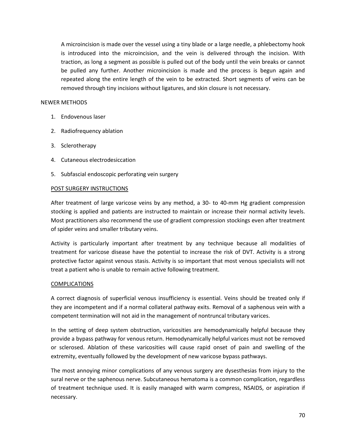A microincision is made over the vessel using a tiny blade or a large needle, a phlebectomy hook is introduced into the microincision, and the vein is delivered through the incision. With traction, as long a segment as possible is pulled out of the body until the vein breaks or cannot be pulled any further. Another microincision is made and the process is begun again and repeated along the entire length of the vein to be extracted. Short segments of veins can be removed through tiny incisions without ligatures, and skin closure is not necessary.

## NEWER METHODS

- 1. Endovenous laser
- 2. Radiofrequency ablation
- 3. Sclerotherapy
- 4. Cutaneous electrodesiccation
- 5. Subfascial endoscopic perforating vein surgery

## POST SURGERY INSTRUCTIONS

After treatment of large varicose veins by any method, a 30- to 40-mm Hg gradient compression stocking is applied and patients are instructed to maintain or increase their normal activity levels. Most practitioners also recommend the use of gradient compression stockings even after treatment of spider veins and smaller tributary veins.

Activity is particularly important after treatment by any technique because all modalities of treatment for varicose disease have the potential to increase the risk of DVT. Activity is a strong protective factor against venous stasis. Activity is so important that most venous specialists will not treat a patient who is unable to remain active following treatment.

## **COMPLICATIONS**

A correct diagnosis of superficial venous insufficiency is essential. Veins should be treated only if they are incompetent and if a normal collateral pathway exits. Removal of a saphenous vein with a competent termination will not aid in the management of nontruncal tributary varices.

In the setting of deep system obstruction, varicosities are hemodynamically helpful because they provide a bypass pathway for venous return. Hemodynamically helpful varices must not be removed or sclerosed. Ablation of these varicosities will cause rapid onset of pain and swelling of the extremity, eventually followed by the development of new varicose bypass pathways.

The most annoying minor complications of any venous surgery are dysesthesias from injury to the sural nerve or the saphenous nerve. Subcutaneous hematoma is a common complication, regardless of treatment technique used. It is easily managed with warm compress, NSAIDS, or aspiration if necessary.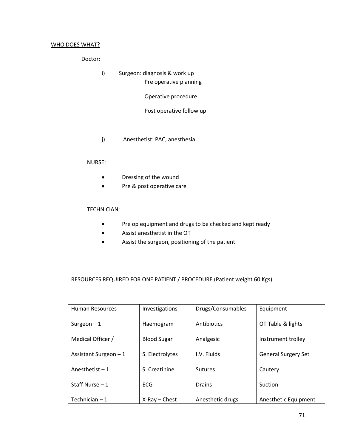### WHO DOES WHAT?

Doctor:

i) Surgeon: diagnosis & work up Pre operative planning

Operative procedure

Post operative follow up

j) Anesthetist: PAC, anesthesia

### NURSE:

- Dressing of the wound
- Pre & post operative care

## TECHNICIAN:

- Pre op equipment and drugs to be checked and kept ready
- Assist anesthetist in the OT
- Assist the surgeon, positioning of the patient

# RESOURCES REQUIRED FOR ONE PATIENT / PROCEDURE (Patient weight 60 Kgs)

| <b>Human Resources</b> | Investigations     | Drugs/Consumables | Equipment                  |
|------------------------|--------------------|-------------------|----------------------------|
| Surgeon $-1$           | Haemogram          | Antibiotics       | OT Table & lights          |
| Medical Officer /      | <b>Blood Sugar</b> | Analgesic         | Instrument trolley         |
| Assistant Surgeon $-1$ | S. Electrolytes    | I.V. Fluids       | <b>General Surgery Set</b> |
| Anesthetist $-1$       | S. Creatinine      | <b>Sutures</b>    | Cautery                    |
| Staff Nurse $-1$       | <b>FCG</b>         | Drains            | Suction                    |
| Technician $-1$        | $X-Ray$ - Chest    | Anesthetic drugs  | Anesthetic Equipment       |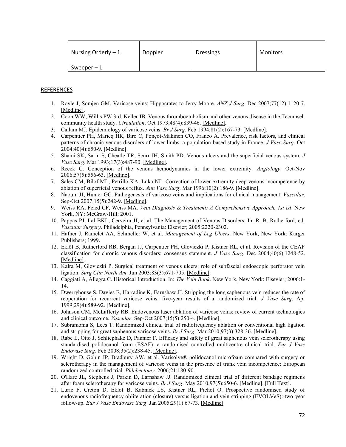| Nursing Orderly $-1$ | Doppler | <b>Dressings</b> | <b>Monitors</b> |
|----------------------|---------|------------------|-----------------|
| Sweeper $-1$         |         |                  |                 |

### **REFERENCES**

- 1. Royle J, Somjen GM. Varicose veins: Hippocrates to Jerry Moore. *ANZ J Surg*. Dec 2007;77(12):1120-7. [\[Medline\].](http://www.medscape.com/medline/abstract/17973674)
- 2. Coon WW, Willis PW 3rd, Keller JB. Venous thromboembolism and other venous disease in the Tecumseh community health study. *Circulation*. Oct 1973;48(4):839-46. [\[Medline\].](http://www.medscape.com/medline/abstract/4744789)
- 3. Callam MJ. Epidemiology of varicose veins. *Br J Surg*. Feb 1994;81(2):167-73[. \[Medline\].](http://www.medscape.com/medline/abstract/8156326)
- 4. Carpentier PH, Maricq HR, Biro C, Ponçot-Makinen CO, Franco A. Prevalence, risk factors, and clinical patterns of chronic venous disorders of lower limbs: a population-based study in France. *J Vasc Surg*. Oct 2004;40(4):650-9[. \[Medline\].](http://www.medscape.com/medline/abstract/15472591)
- 5. Shami SK, Sarin S, Cheatle TR, Scurr JH, Smith PD. Venous ulcers and the superficial venous system. *J Vasc Surg*. Mar 1993;17(3):487-90[. \[Medline\].](http://www.medscape.com/medline/abstract/8445743)
- 6. Recek C. Conception of the venous hemodynamics in the lower extremity. *Angiology*. Oct-Nov 2006;57(5):556-63[. \[Medline\].](http://www.medscape.com/medline/abstract/17067977)
- 7. Sales CM, Bilof ML, Petrillo KA, Luka NL. Correction of lower extremity deep venous incompetence by ablation of superficial venous reflux. *Ann Vasc Surg*. Mar 1996;10(2):186-9. [\[Medline\].](http://www.medscape.com/medline/abstract/8733872)
- 8. Naoum JJ, Hunter GC. Pathogenesis of varicose veins and implications for clinical management. *Vascular*. Sep-Oct 2007;15(5):242-9. [\[Medline\].](http://www.medscape.com/medline/abstract/17976322)
- 9. Weiss RA, Feied CF, Weiss MA. *Vein Diagnosis & Treatment: A Comprehensive Approach, 1st ed*. New York, NY: McGraw-Hill; 2001.
- 10. Pappas PJ, Lal BKL, Cerveira JJ, et al. The Management of Venous Disorders. In: R. B. Rutherford, ed. *Vascular Surgery*. Philadelphia, Pennsylvania: Elsevier; 2005:2220-2302.
- 11. Hafner J, Ramelet AA, Schmeller W, et al. *Management of Leg Ulcers*. New York, New York: Karger Publishers; 1999.
- 12. Eklöf B, Rutherford RB, Bergan JJ, Carpentier PH, Gloviczki P, Kistner RL, et al. Revision of the CEAP classification for chronic venous disorders: consensus statement. *J Vasc Surg*. Dec 2004;40(6):1248-52. [\[Medline\].](http://www.medscape.com/medline/abstract/15622385)
- 13. Kalra M, Gloviczki P. Surgical treatment of venous ulcers: role of subfascial endoscopic perforator vein ligation. *Surg Clin North Am*. Jun 2003;83(3):671-705. [\[Medline\].](http://www.medscape.com/medline/abstract/12822732)
- 14. Caggiati A, Allegra C. Historical Introduction. In: *The Vein Book*. New York, New York: Elsevier; 2006:1- 14.
- 15. Dwerryhouse S, Davies B, Harradine K, Earnshaw JJ. Stripping the long saphenous vein reduces the rate of reoperation for recurrent varicose veins: five-year results of a randomized trial. *J Vasc Surg*. Apr 1999;29(4):589-92[. \[Medline\].](http://www.medscape.com/medline/abstract/10194484)
- 16. Johnson CM, McLafferty RB. Endovenous laser ablation of varicose veins: review of current technologies and clinical outcome. *Vascular*. Sep-Oct 2007;15(5):250-4. [\[Medline\].](http://www.medscape.com/medline/abstract/17976323)
- 17. Subramonia S, Lees T. Randomized clinical trial of radiofrequency ablation or conventional high ligation and stripping for great saphenous varicose veins. *Br J Surg*. Mar 2010;97(3):328-36. [\[Medline\].](http://www.medscape.com/medline/abstract/20035541)
- 18. Rabe E, Otto J, Schliephake D, Pannier F. Efficacy and safety of great saphenous vein sclerotherapy using standardised polidocanol foam (ESAF): a randomised controlled multicentre clinical trial. *Eur J Vasc Endovasc Surg*. Feb 2008;35(2):238-45[. \[Medline\].](http://www.medscape.com/medline/abstract/17988905)
- 19. Wright D, Gobin JP, Bradbury AW, et al. Varisolve® polidocanol microfoam compared with surgery or sclerotherapy in the management of varicose veins in the presence of trunk vein incompetence: European randomized controlled trial. *Phlebectomy*. 2006;21:180-90.
- 20. O'Hare JL, Stephens J, Parkin D, Earnshaw JJ. Randomized clinical trial of different bandage regimens after foam sclerotherapy for varicose veins. *Br J Surg*. May 2010;97(5):650-6. [\[Medline\].](http://www.medscape.com/medline/abstract/20306530) [\[Full Text\].](http://www.medscape.com/medline/abstract/20306530?cid=med&src=nlbest)
- 21. Lurie F, Creton D, Eklof B, Kabnick LS, Kistner RL, Pichot O. Prospective randomised study of endovenous radiofrequency obliteration (closure) versus ligation and vein stripping (EVOLVeS): two-year follow-up. *Eur J Vasc Endovasc Surg*. Jan 2005;29(1):67-73. [\[Medline\].](http://www.medscape.com/medline/abstract/15570274)